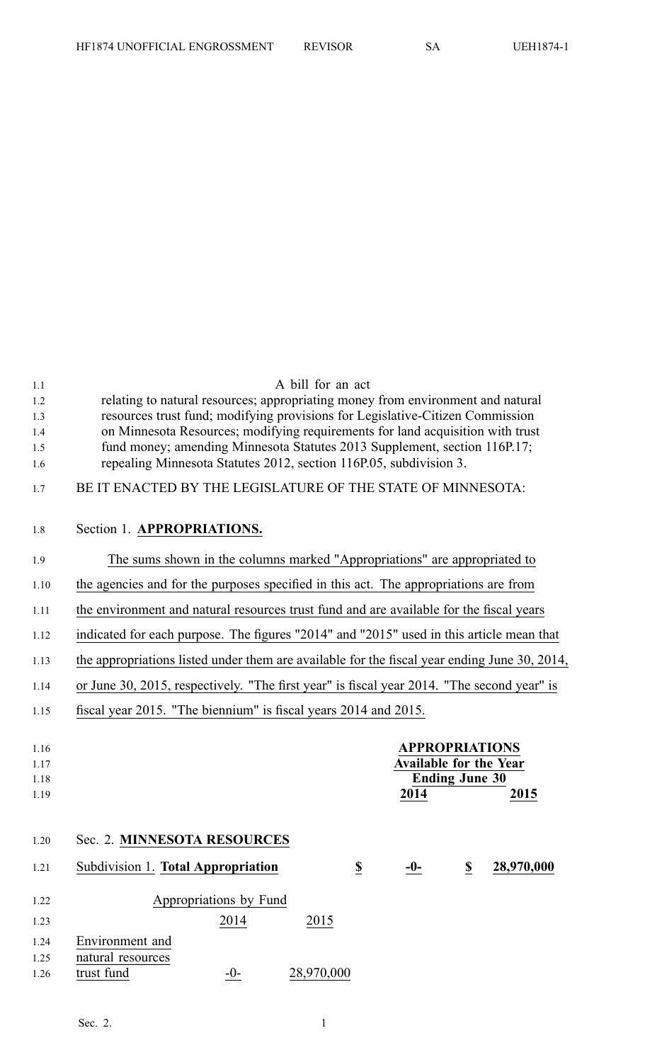| 1.1        | A bill for an act                                                                                                                               |
|------------|-------------------------------------------------------------------------------------------------------------------------------------------------|
| 1.2        | relating to natural resources; appropriating money from environment and natural                                                                 |
| 1.3        | resources trust fund; modifying provisions for Legislative-Citizen Commission                                                                   |
| 1.4        | on Minnesota Resources; modifying requirements for land acquisition with trust                                                                  |
| 1.5<br>1.6 | fund money; amending Minnesota Statutes 2013 Supplement, section 116P.17;<br>repealing Minnesota Statutes 2012, section 116P.05, subdivision 3. |
| 1.7        | BE IT ENACTED BY THE LEGISLATURE OF THE STATE OF MINNESOTA:                                                                                     |
| 1.8        | Section 1. APPROPRIATIONS.                                                                                                                      |
| 1.9        | The sums shown in the columns marked "Appropriations" are appropriated to                                                                       |
| 1.10       | the agencies and for the purposes specified in this act. The appropriations are from                                                            |
| 1.11       | the environment and natural resources trust fund and are available for the fiscal years                                                         |
| 1.12       | indicated for each purpose. The figures "2014" and "2015" used in this article mean that                                                        |
| 1.13       | the appropriations listed under them are available for the fiscal year ending June 30, 2014,                                                    |
| 1.14       | or June 30, 2015, respectively. "The first year" is fiscal year 2014. "The second year" is                                                      |
| 1.15       | fiscal year 2015. "The biennium" is fiscal years 2014 and 2015.                                                                                 |
| 1.16       | <b>APPROPRIATIONS</b>                                                                                                                           |
| 1.17       | <b>Available for the Year</b>                                                                                                                   |
| 1.18       | <b>Ending June 30</b>                                                                                                                           |
| 1.19       | 2014<br>2015                                                                                                                                    |
| 1.20       | Sec. 2. MINNESOTA RESOURCES                                                                                                                     |
| 1.21       | Subdivision 1. Total Appropriation<br>$\underline{\underline{\$}}$<br>28,970,000<br>$\overline{\mathbf{z}}$<br>$-0-$                            |
| 1.22       | Appropriations by Fund                                                                                                                          |
| 1.23       | 2014<br>2015                                                                                                                                    |
| 1.24       | Environment and                                                                                                                                 |
| 1.25       | natural resources                                                                                                                               |
| 1.26       | 28,970,000<br>trust fund<br>$-0-$                                                                                                               |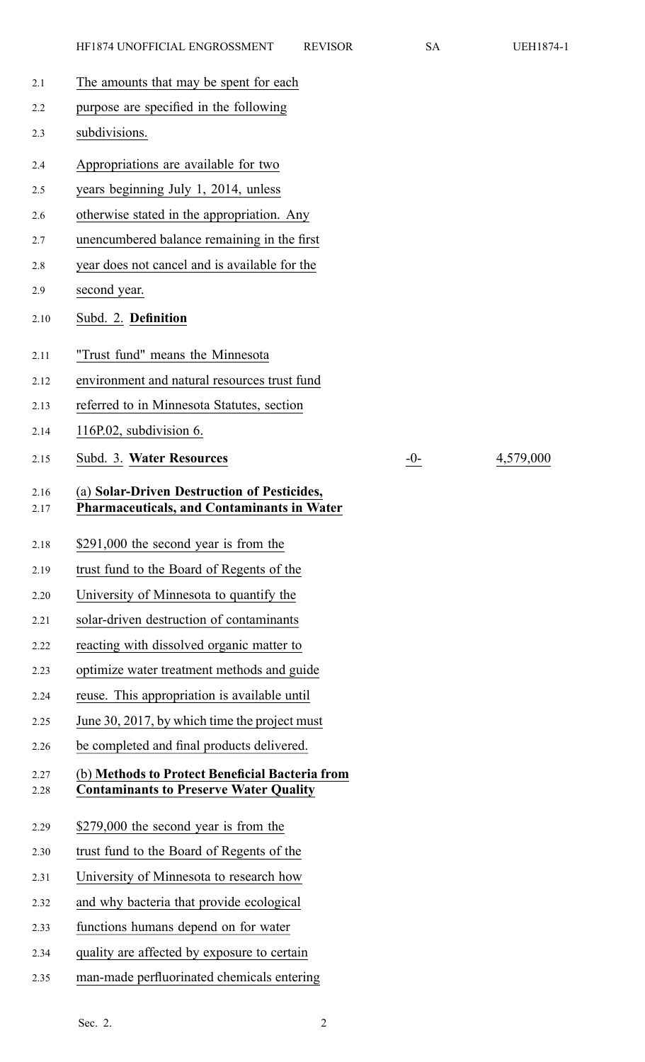2.15 Subd. 3. **Water Resources** -0- 4,579,000

| 2.1          | The amounts that may be spent for each                                                           |
|--------------|--------------------------------------------------------------------------------------------------|
| 2.2          | purpose are specified in the following                                                           |
| 2.3          | subdivisions.                                                                                    |
| 2.4          | Appropriations are available for two                                                             |
| 2.5          | years beginning July 1, 2014, unless                                                             |
| 2.6          | otherwise stated in the appropriation. Any                                                       |
| 2.7          | unencumbered balance remaining in the first                                                      |
| 2.8          | year does not cancel and is available for the                                                    |
| 2.9          | second year.                                                                                     |
| 2.10         | Subd. 2. Definition                                                                              |
| 2.11         | "Trust fund" means the Minnesota                                                                 |
| 2.12         | environment and natural resources trust fund                                                     |
| 2.13         | referred to in Minnesota Statutes, section                                                       |
| 2.14         | 116P.02, subdivision 6.                                                                          |
| 2.15         | Subd. 3. Water Resources                                                                         |
| 2.16<br>2.17 | (a) Solar-Driven Destruction of Pesticides,<br><b>Pharmaceuticals, and Contaminants in Water</b> |
| 2.18         | \$291,000 the second year is from the                                                            |
| 2.19         | trust fund to the Board of Regents of the                                                        |
| 2.20         | University of Minnesota to quantify the                                                          |
| 2.21         | solar-driven destruction of contaminants                                                         |
| 2.22         | reacting with dissolved organic matter to                                                        |
| 2.23         | optimize water treatment methods and guide                                                       |
| 2.24         | reuse. This appropriation is available until                                                     |
| 2.25         | June 30, 2017, by which time the project must                                                    |
| 2.26         | be completed and final products delivered.                                                       |
| 2.27<br>2.28 | (b) Methods to Protect Beneficial Bacteria from<br><b>Contaminants to Preserve Water Quality</b> |
| 2.29         | \$279,000 the second year is from the                                                            |
| 2.30         | trust fund to the Board of Regents of the                                                        |
| 2.31         | University of Minnesota to research how                                                          |
| 2.32         | and why bacteria that provide ecological                                                         |
| 2.33         | functions humans depend on for water                                                             |
| 2.34         | quality are affected by exposure to certain                                                      |
| 2.35         | man-made perfluorinated chemicals entering                                                       |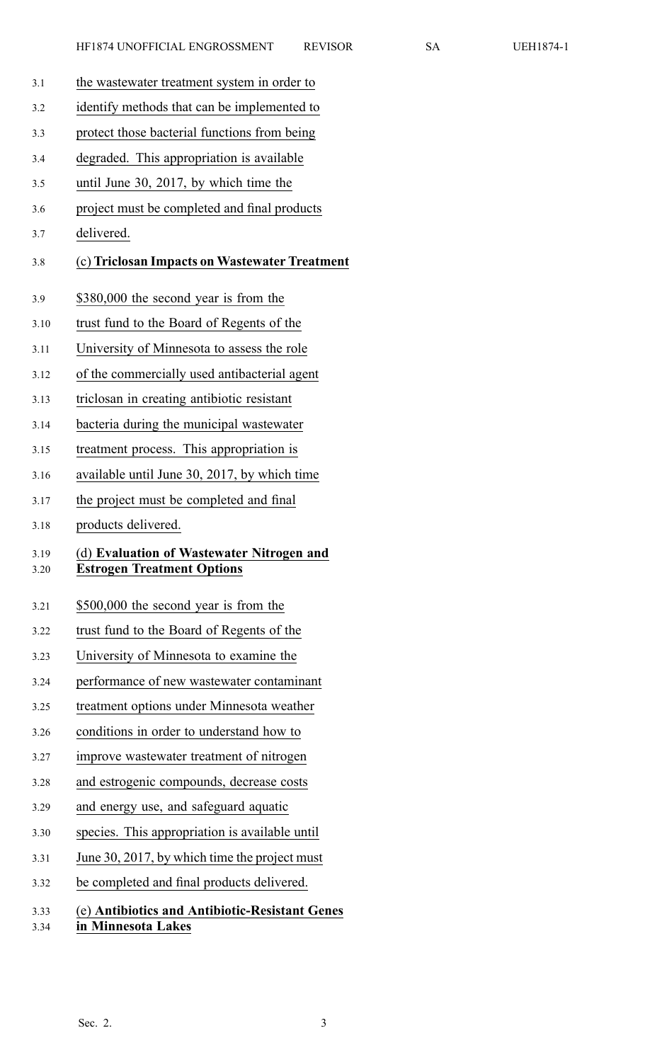- 3.1 the wastewater treatment system in order to
- 3.2 identify methods that can be implemented to
- 3.3 protect those bacterial functions from being
- 3.4 degraded. This appropriation is available
- 3.5 until June 30, 2017, by which time the
- 3.6 project must be completed and final products
- 3.7 delivered.

### 3.8 (c) **Triclosan Impacts on Wastewater Treatment**

- 3.9 \$380,000 the second year is from the
- 3.10 trust fund to the Board of Regents of the
- 3.11 University of Minnesota to assess the role
- 3.12 of the commercially used antibacterial agen<sup>t</sup>
- 3.13 triclosan in creating antibiotic resistant
- 3.14 bacteria during the municipal wastewater
- 3.15 treatment process. This appropriation is
- 3.16 available until June 30, 2017, by which time
- 3.17 the project must be completed and final
- 3.18 products delivered.

#### 3.19 (d) **Evaluation of Wastewater Nitrogen and** 3.20 **Estrogen Treatment Options**

- 3.21 \$500,000 the second year is from the
- 3.22 trust fund to the Board of Regents of the
- 3.23 University of Minnesota to examine the
- 3.24 performance of new wastewater contaminant
- 3.25 treatment options under Minnesota weather
- 3.26 conditions in order to understand how to
- 3.27 improve wastewater treatment of nitrogen
- 3.28 and estrogenic compounds, decrease costs
- 3.29 and energy use, and safeguard aquatic
- 3.30 species. This appropriation is available until
- 3.31 June 30, 2017, by which time the project must
- 3.32 be completed and final products delivered.

# 3.33 (e) **Antibiotics and Antibiotic-Resistant Genes**

3.34 **in Minnesota Lakes**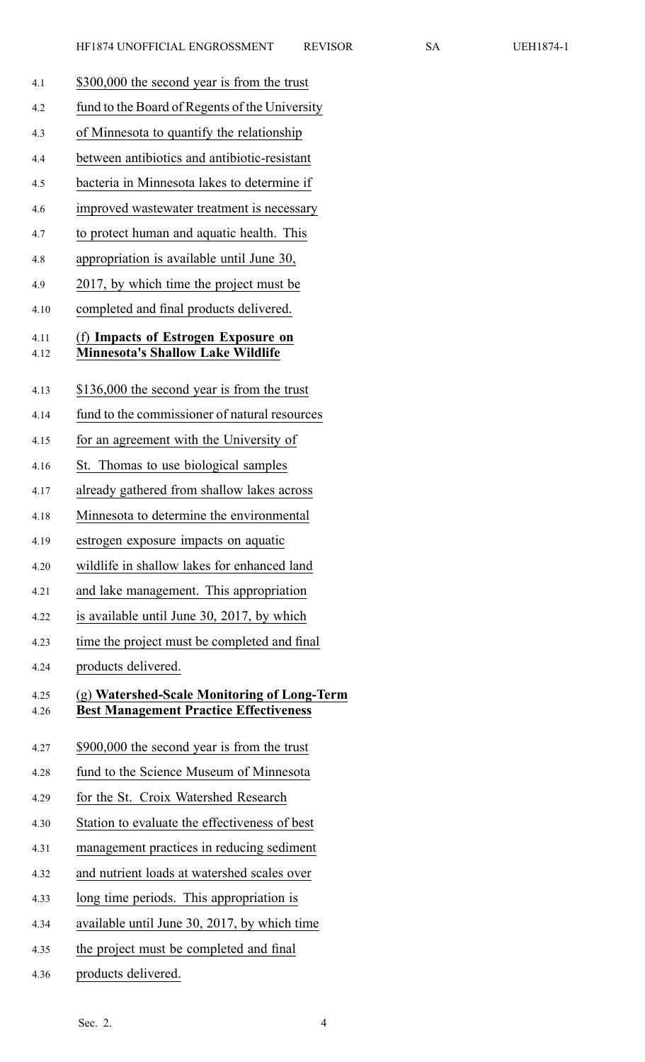- 4.1 \$300,000 the second year is from the trust 4.2 fund to the Board of Regents of the University 4.3 of Minnesota to quantify the relationship 4.4 between antibiotics and antibiotic-resistant 4.5 bacteria in Minnesota lakes to determine if 4.6 improved wastewater treatment is necessary 4.7 to protect human and aquatic health. This 4.8 appropriation is available until June 30, 4.9 2017, by which time the project must be 4.10 completed and final products delivered. 4.11 (f) **Impacts of Estrogen Exposure on** 4.12 **Minnesota's Shallow Lake Wildlife** 4.13 \$136,000 the second year is from the trust 4.14 fund to the commissioner of natural resources 4.15 for an agreemen<sup>t</sup> with the University of 4.16 St. Thomas to use biological samples 4.17 already gathered from shallow lakes across 4.18 Minnesota to determine the environmental 4.19 estrogen exposure impacts on aquatic 4.20 wildlife in shallow lakes for enhanced land 4.21 and lake management. This appropriation 4.22 is available until June 30, 2017, by which 4.23 time the project must be completed and final 4.24 products delivered. 4.25 (g) **Watershed-Scale Monitoring of Long-Term** 4.26 **Best Management Practice Effectiveness** 4.27 \$900,000 the second year is from the trust 4.28 fund to the Science Museum of Minnesota 4.29 for the St. Croix Watershed Research 4.30 Station to evaluate the effectiveness of best 4.31 managemen<sup>t</sup> practices in reducing sediment 4.32 and nutrient loads at watershed scales over 4.33 long time periods. This appropriation is 4.34 available until June 30, 2017, by which time 4.35 the project must be completed and final
- 4.36 products delivered.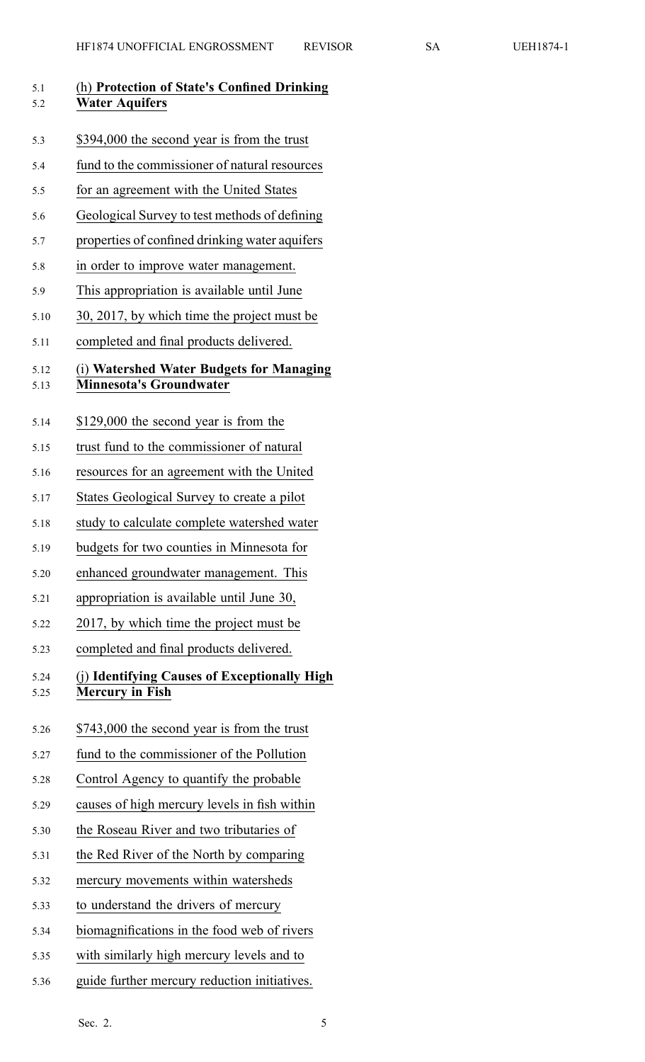| 5.1<br>5.2   | (h) Protection of State's Confined Drinking<br><b>Water Aquifers</b>       |
|--------------|----------------------------------------------------------------------------|
| 5.3          | \$394,000 the second year is from the trust                                |
| 5.4          | fund to the commissioner of natural resources                              |
| 5.5          | for an agreement with the United States                                    |
| 5.6          | Geological Survey to test methods of defining                              |
| 5.7          | properties of confined drinking water aquifers                             |
| 5.8          | in order to improve water management.                                      |
| 5.9          | This appropriation is available until June                                 |
| 5.10         | 30, 2017, by which time the project must be                                |
| 5.11         | completed and final products delivered.                                    |
| 5.12<br>5.13 | (i) Watershed Water Budgets for Managing<br><b>Minnesota's Groundwater</b> |
| 5.14         | \$129,000 the second year is from the                                      |
| 5.15         | trust fund to the commissioner of natural                                  |
| 5.16         | resources for an agreement with the United                                 |
| 5.17         | States Geological Survey to create a pilot                                 |
| 5.18         | study to calculate complete watershed water                                |
| 5.19         | budgets for two counties in Minnesota for                                  |
| 5.20         | enhanced groundwater management. This                                      |
| 5.21         | appropriation is available until June 30,                                  |
| 5.22         | 2017, by which time the project must be                                    |
| 5.23         | completed and final products delivered.                                    |
| 5.24<br>5.25 | (j) Identifying Causes of Exceptionally High<br><b>Mercury in Fish</b>     |
| 5.26         | \$743,000 the second year is from the trust                                |
| 5.27         | fund to the commissioner of the Pollution                                  |
| 5.28         | Control Agency to quantify the probable                                    |
| 5.29         | causes of high mercury levels in fish within                               |
| 5.30         | the Roseau River and two tributaries of                                    |
| 5.31         | the Red River of the North by comparing                                    |
| 5.32         | mercury movements within watersheds                                        |
| 5.33         | to understand the drivers of mercury                                       |
| 5.34         | biomagnifications in the food web of rivers                                |
| 5.35         | with similarly high mercury levels and to                                  |

5.36 guide further mercury reduction initiatives.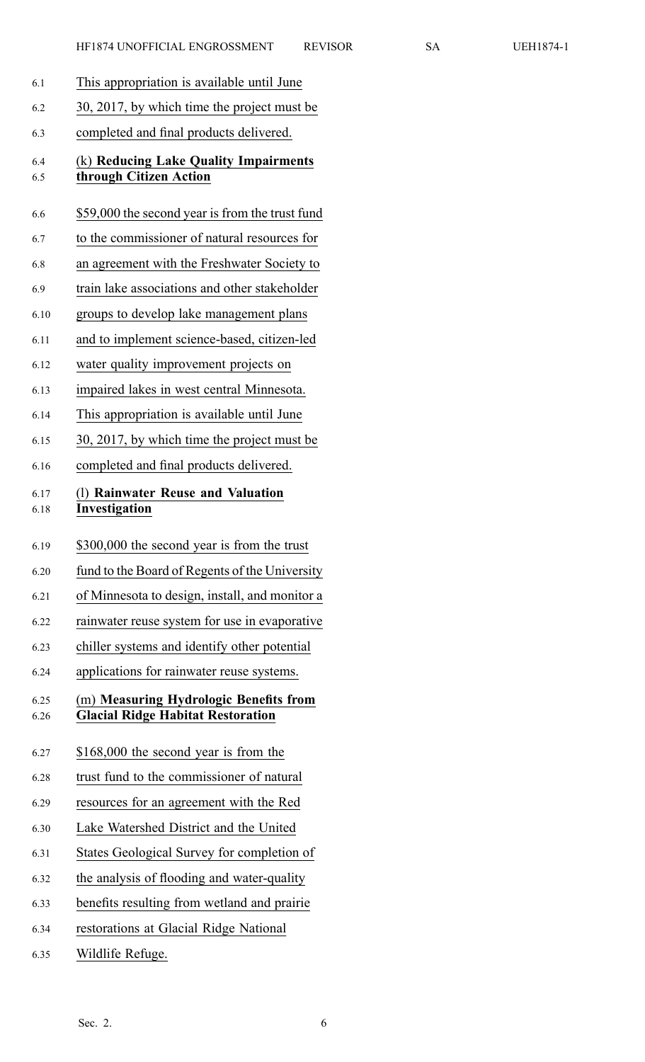| 6.1          | This appropriation is available until June                                         |
|--------------|------------------------------------------------------------------------------------|
| 6.2          | 30, 2017, by which time the project must be                                        |
| 6.3          | completed and final products delivered.                                            |
| 6.4          | (k) Reducing Lake Quality Impairments                                              |
| 6.5          | through Citizen Action                                                             |
| 6.6          | \$59,000 the second year is from the trust fund                                    |
| 6.7          | to the commissioner of natural resources for                                       |
| 6.8          | an agreement with the Freshwater Society to                                        |
| 6.9          | train lake associations and other stakeholder                                      |
| 6.10         | groups to develop lake management plans                                            |
| 6.11         | and to implement science-based, citizen-led                                        |
| 6.12         | water quality improvement projects on                                              |
| 6.13         | impaired lakes in west central Minnesota.                                          |
| 6.14         | This appropriation is available until June                                         |
| 6.15         | 30, 2017, by which time the project must be                                        |
| 6.16         | completed and final products delivered.                                            |
| 6.17<br>6.18 | (1) Rainwater Reuse and Valuation<br>Investigation                                 |
|              |                                                                                    |
| 6.19         | \$300,000 the second year is from the trust                                        |
| 6.20         | fund to the Board of Regents of the University                                     |
| 6.21         | of Minnesota to design, install, and monitor a                                     |
| 6.22         | rainwater reuse system for use in evaporative                                      |
| 6.23         | chiller systems and identify other potential                                       |
| 6.24         | applications for rainwater reuse systems.                                          |
|              |                                                                                    |
| 6.25<br>6.26 | (m) Measuring Hydrologic Benefits from<br><b>Glacial Ridge Habitat Restoration</b> |
| 6.27         | \$168,000 the second year is from the                                              |
| 6.28         | trust fund to the commissioner of natural                                          |
| 6.29         | resources for an agreement with the Red                                            |
| 6.30         | Lake Watershed District and the United                                             |
| 6.31         | States Geological Survey for completion of                                         |
| 6.32         | the analysis of flooding and water-quality                                         |
| 6.33         | benefits resulting from wetland and prairie                                        |
| 6.34         | restorations at Glacial Ridge National                                             |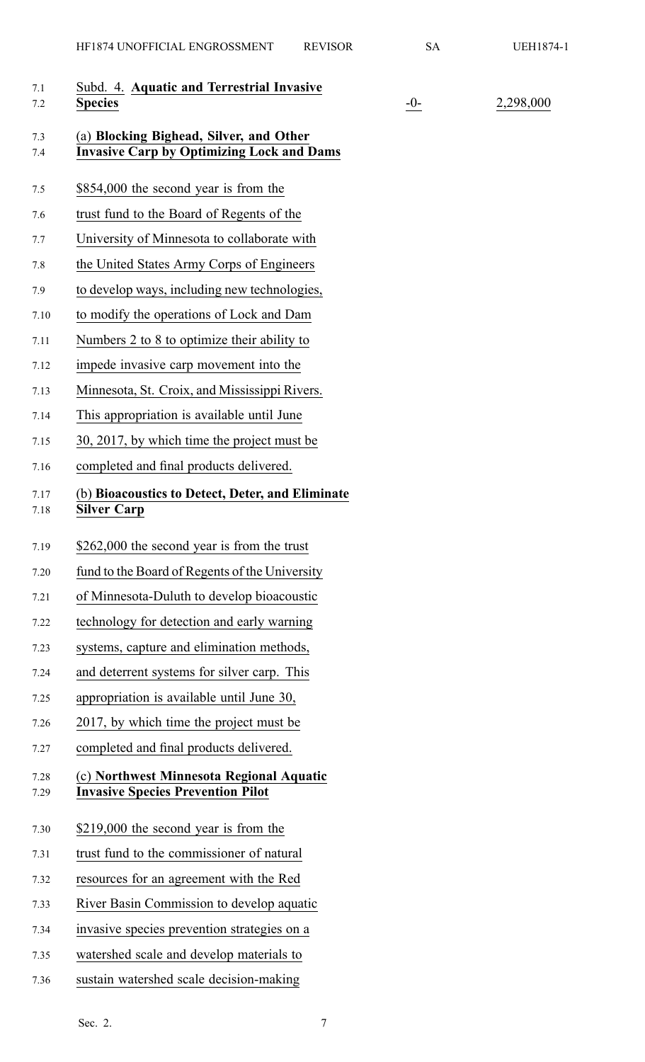| 7.1<br>7.2   | Subd. 4. Aquatic and Terrestrial Invasive<br><b>Species</b>                                 | $-0-$ | 2,298,000 |
|--------------|---------------------------------------------------------------------------------------------|-------|-----------|
| 7.3<br>7.4   | (a) Blocking Bighead, Silver, and Other<br><b>Invasive Carp by Optimizing Lock and Dams</b> |       |           |
| 7.5          | \$854,000 the second year is from the                                                       |       |           |
| 7.6          | trust fund to the Board of Regents of the                                                   |       |           |
| 7.7          | University of Minnesota to collaborate with                                                 |       |           |
| 7.8          | the United States Army Corps of Engineers                                                   |       |           |
| 7.9          | to develop ways, including new technologies,                                                |       |           |
| 7.10         | to modify the operations of Lock and Dam                                                    |       |           |
| 7.11         | Numbers 2 to 8 to optimize their ability to                                                 |       |           |
| 7.12         | impede invasive carp movement into the                                                      |       |           |
| 7.13         | Minnesota, St. Croix, and Mississippi Rivers.                                               |       |           |
| 7.14         | This appropriation is available until June                                                  |       |           |
| 7.15         | 30, 2017, by which time the project must be                                                 |       |           |
| 7.16         | completed and final products delivered.                                                     |       |           |
| 7.17<br>7.18 | (b) Bioacoustics to Detect, Deter, and Eliminate<br><b>Silver Carp</b>                      |       |           |
| 7.19         | \$262,000 the second year is from the trust                                                 |       |           |
| 7.20         | fund to the Board of Regents of the University                                              |       |           |
| 7.21         | of Minnesota-Duluth to develop bioacoustic                                                  |       |           |
| 7.22         | technology for detection and early warning                                                  |       |           |
| 7.23         | systems, capture and elimination methods,                                                   |       |           |
| 7.24         | and deterrent systems for silver carp. This                                                 |       |           |
| 7.25         | appropriation is available until June 30,                                                   |       |           |
| 7.26         | 2017, by which time the project must be                                                     |       |           |
| 7.27         | completed and final products delivered.                                                     |       |           |
| 7.28<br>7.29 | (c) Northwest Minnesota Regional Aquatic<br><b>Invasive Species Prevention Pilot</b>        |       |           |
| 7.30         | \$219,000 the second year is from the                                                       |       |           |
| 7.31         | trust fund to the commissioner of natural                                                   |       |           |
| 7.32         | resources for an agreement with the Red                                                     |       |           |
| 7.33         | River Basin Commission to develop aquatic                                                   |       |           |
| 7.34         | invasive species prevention strategies on a                                                 |       |           |
| 7.35         | watershed scale and develop materials to                                                    |       |           |
| 7.36         | sustain watershed scale decision-making                                                     |       |           |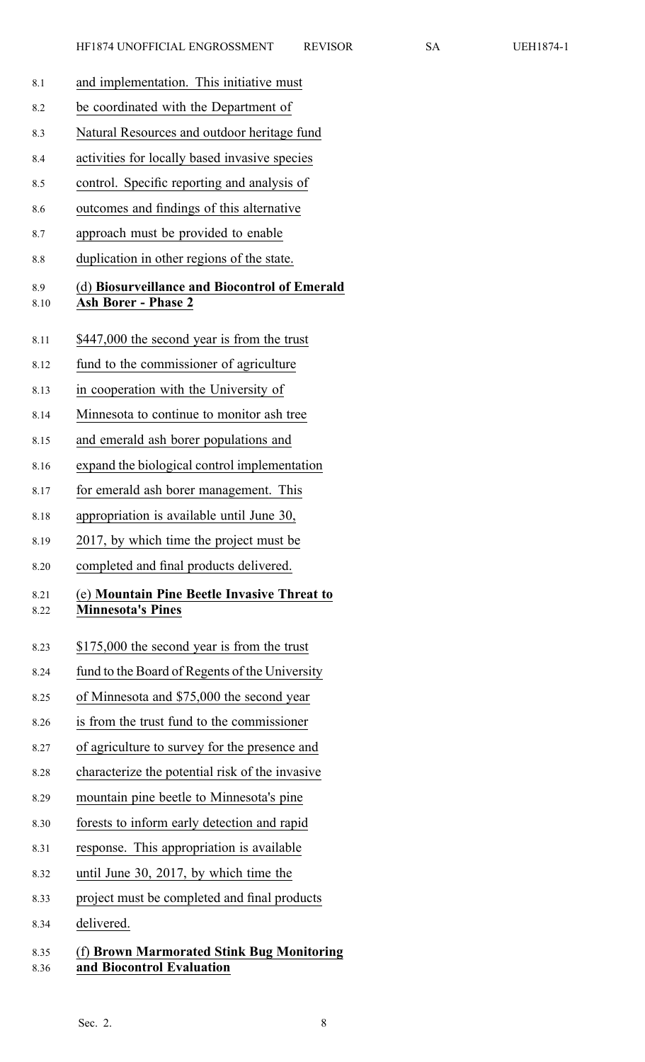| 8.1          | and implementation. This initiative must                                    |
|--------------|-----------------------------------------------------------------------------|
| 8.2          | be coordinated with the Department of                                       |
| 8.3          | Natural Resources and outdoor heritage fund                                 |
| 8.4          | activities for locally based invasive species                               |
| 8.5          | control. Specific reporting and analysis of                                 |
| 8.6          | outcomes and findings of this alternative                                   |
| 8.7          | approach must be provided to enable                                         |
| 8.8          | duplication in other regions of the state.                                  |
| 8.9<br>8.10  | (d) Biosurveillance and Biocontrol of Emerald<br><b>Ash Borer - Phase 2</b> |
| 8.11         | \$447,000 the second year is from the trust                                 |
| 8.12         | fund to the commissioner of agriculture                                     |
| 8.13         | in cooperation with the University of                                       |
| 8.14         | Minnesota to continue to monitor ash tree                                   |
| 8.15         | and emerald ash borer populations and                                       |
| 8.16         | expand the biological control implementation                                |
| 8.17         | for emerald ash borer management. This                                      |
| 8.18         | appropriation is available until June 30,                                   |
| 8.19         | 2017, by which time the project must be                                     |
| 8.20         | completed and final products delivered.                                     |
|              |                                                                             |
| 8.21<br>8.22 | (e) Mountain Pine Beetle Invasive Threat to<br><b>Minnesota's Pines</b>     |
| 8.23         | \$175,000 the second year is from the trust                                 |
| 8.24         | fund to the Board of Regents of the University                              |
| 8.25         | of Minnesota and \$75,000 the second year                                   |
| 8.26         | is from the trust fund to the commissioner                                  |
| 8.27         | of agriculture to survey for the presence and                               |
| 8.28         | characterize the potential risk of the invasive                             |
| 8.29         | mountain pine beetle to Minnesota's pine                                    |
| 8.30         | forests to inform early detection and rapid                                 |
| 8.31         | response. This appropriation is available                                   |
| 8.32         | until June 30, 2017, by which time the                                      |
| 8.33         | project must be completed and final products                                |

# 8.35 (f) **Brown Marmorated Stink Bug Monitoring** 8.36 **and Biocontrol Evaluation**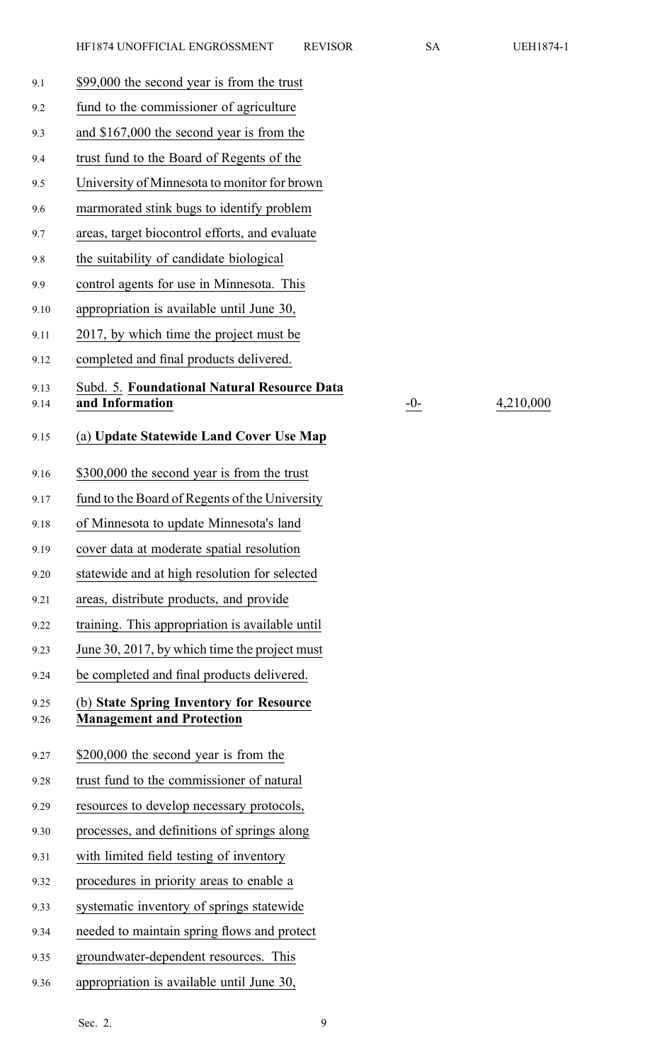| 9.1          | \$99,000 the second year is from the trust                                  |
|--------------|-----------------------------------------------------------------------------|
| 9.2          | fund to the commissioner of agriculture                                     |
| 9.3          | and \$167,000 the second year is from the                                   |
| 9.4          | trust fund to the Board of Regents of the                                   |
| 9.5          | University of Minnesota to monitor for brown                                |
| 9.6          | marmorated stink bugs to identify problem                                   |
| 9.7          | areas, target biocontrol efforts, and evaluate                              |
| 9.8          | the suitability of candidate biological                                     |
| 9.9          | control agents for use in Minnesota. This                                   |
| 9.10         | appropriation is available until June 30,                                   |
| 9.11         | 2017, by which time the project must be                                     |
| 9.12         | completed and final products delivered.                                     |
| 9.13         | Subd. 5. Foundational Natural Resource Data                                 |
| 9.14         | and Information                                                             |
| 9.15         | (a) Update Statewide Land Cover Use Map                                     |
| 9.16         | \$300,000 the second year is from the trust                                 |
| 9.17         | fund to the Board of Regents of the University                              |
| 9.18         | of Minnesota to update Minnesota's land                                     |
| 9.19         | cover data at moderate spatial resolution                                   |
| 9.20         | statewide and at high resolution for selected                               |
| 9.21         | areas, distribute products, and provide                                     |
| 9.22         | training. This appropriation is available until                             |
| 9.23         | June 30, 2017, by which time the project must                               |
| 9.24         | be completed and final products delivered.                                  |
| 9.25<br>9.26 | (b) State Spring Inventory for Resource<br><b>Management and Protection</b> |
| 9.27         | \$200,000 the second year is from the                                       |
| 9.28         | trust fund to the commissioner of natural                                   |
| 9.29         | resources to develop necessary protocols,                                   |
| 9.30         | processes, and definitions of springs along                                 |
| 9.31         | with limited field testing of inventory                                     |
| 9.32         | procedures in priority areas to enable a                                    |
| 9.33         | systematic inventory of springs statewide                                   |
| 9.34         | needed to maintain spring flows and protect                                 |
| 9.35         | groundwater-dependent resources. This                                       |

9.36 appropriation is available until June 30,

9.14 **and Information** -0- 4,210,000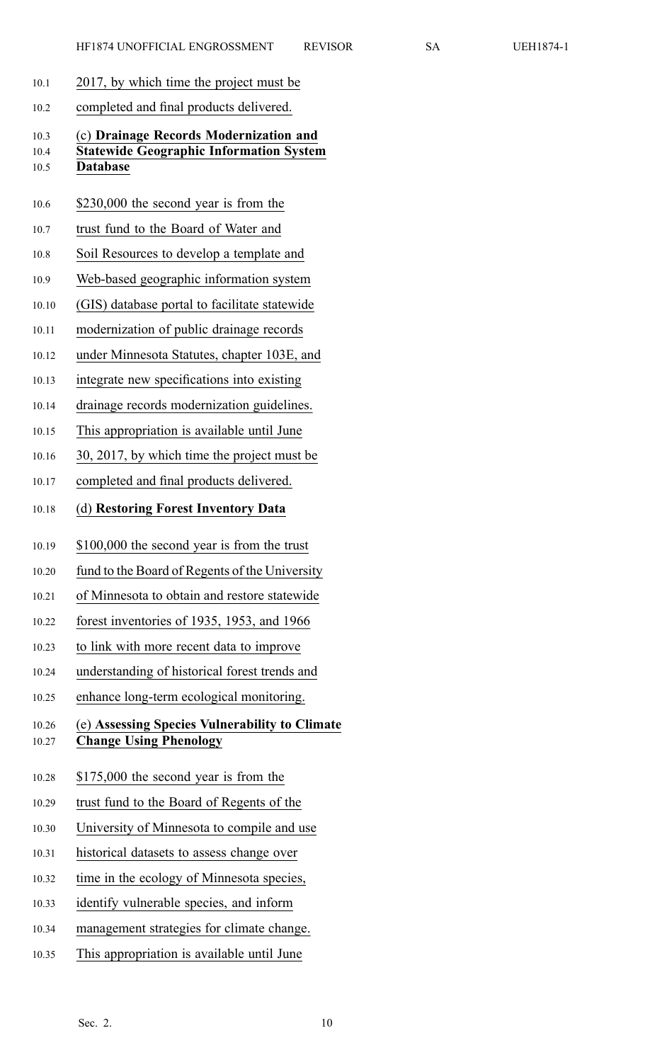- 10.1 2017, by which time the project must be
- 10.2 completed and final products delivered.

# 10.3 (c) **Drainage Records Modernization and** 10.4 **Statewide Geographic Information System** 10.5 **Database**

- 10.6 \$230,000 the second year is from the
- 10.7 trust fund to the Board of Water and
- 10.8 Soil Resources to develop <sup>a</sup> template and
- 10.9 Web-based geographic information system
- 10.10 (GIS) database portal to facilitate statewide
- 10.11 modernization of public drainage records
- 10.12 under Minnesota Statutes, chapter 103E, and
- 10.13 integrate new specifications into existing
- 10.14 drainage records modernization guidelines.
- 10.15 This appropriation is available until June
- 10.16 30, 2017, by which time the project must be
- 10.17 completed and final products delivered.

# 10.18 (d) **Restoring Forest Inventory Data**

- 10.19 \$100,000 the second year is from the trust
- 10.20 fund to the Board of Regents of the University
- 10.21 of Minnesota to obtain and restore statewide
- 10.22 forest inventories of 1935, 1953, and 1966
- 10.23 to link with more recent data to improve
- 10.24 understanding of historical forest trends and
- 10.25 enhance long-term ecological monitoring.

# 10.26 (e) **Assessing Species Vulnerability to Climate** 10.27 **Change Using Phenology**

- 10.28 \$175,000 the second year is from the
- 10.29 trust fund to the Board of Regents of the
- 10.30 University of Minnesota to compile and use
- 10.31 historical datasets to assess change over
- 10.32 time in the ecology of Minnesota species,
- 10.33 identify vulnerable species, and inform
- 10.34 managemen<sup>t</sup> strategies for climate change.
- 10.35 This appropriation is available until June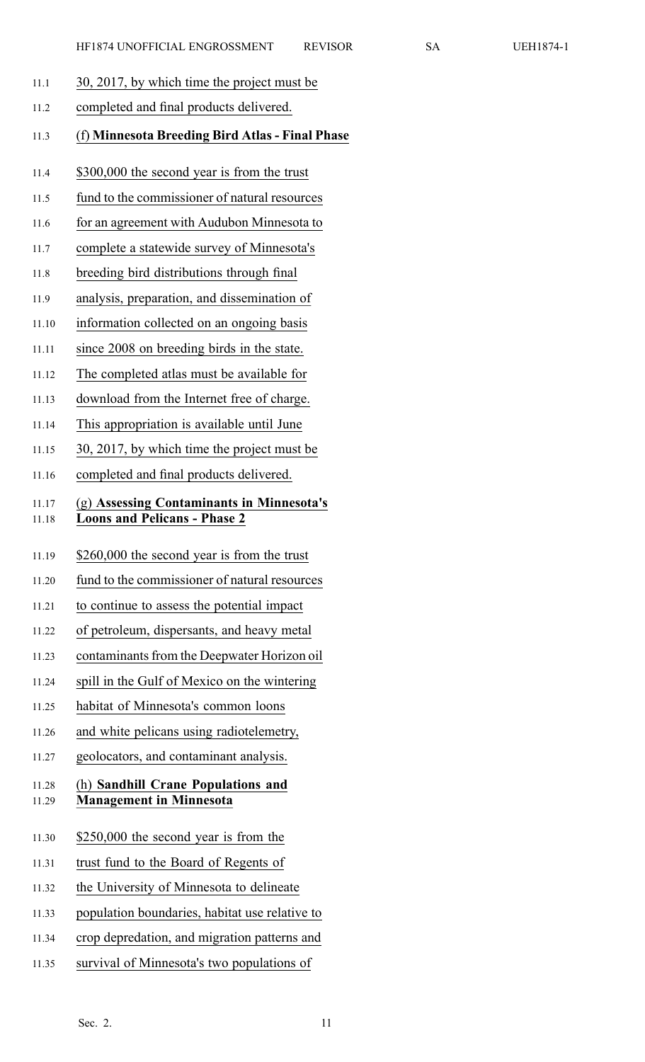- 11.1 30, 2017, by which time the project must be
- 11.2 completed and final products delivered.
- 11.3 (f) **Minnesota Breeding Bird Atlas - Final Phase**
- 11.4 \$300,000 the second year is from the trust
- 11.5 fund to the commissioner of natural resources
- 11.6 for an agreemen<sup>t</sup> with Audubon Minnesota to
- 11.7 complete <sup>a</sup> statewide survey of Minnesota's
- 11.8 breeding bird distributions through final
- 11.9 analysis, preparation, and dissemination of
- 11.10 information collected on an ongoing basis
- 11.11 since 2008 on breeding birds in the state.
- 11.12 The completed atlas must be available for
- 11.13 download from the Internet free of charge.
- 11.14 This appropriation is available until June
- 11.15 30, 2017, by which time the project must be
- 11.16 completed and final products delivered.

# 11.17 (g) **Assessing Contaminants in Minnesota's** 11.18 **Loons and Pelicans - Phase 2**

- 11.19 \$260,000 the second year is from the trust
- 11.20 fund to the commissioner of natural resources
- 11.21 to continue to assess the potential impact
- 11.22 of petroleum, dispersants, and heavy metal
- 11.23 contaminants from the Deepwater Horizon oil
- 11.24 spill in the Gulf of Mexico on the wintering
- 11.25 habitat of Minnesota's common loons
- 11.26 and white pelicans using radiotelemetry,
- 11.27 geolocators, and contaminant analysis.

### 11.28 (h) **Sandhill Crane Populations and** 11.29 **Management in Minnesota**

- 11.30 \$250,000 the second year is from the
- 11.31 trust fund to the Board of Regents of
- 11.32 the University of Minnesota to delineate
- 11.33 population boundaries, habitat use relative to
- 11.34 crop depredation, and migration patterns and
- 11.35 survival of Minnesota's two populations of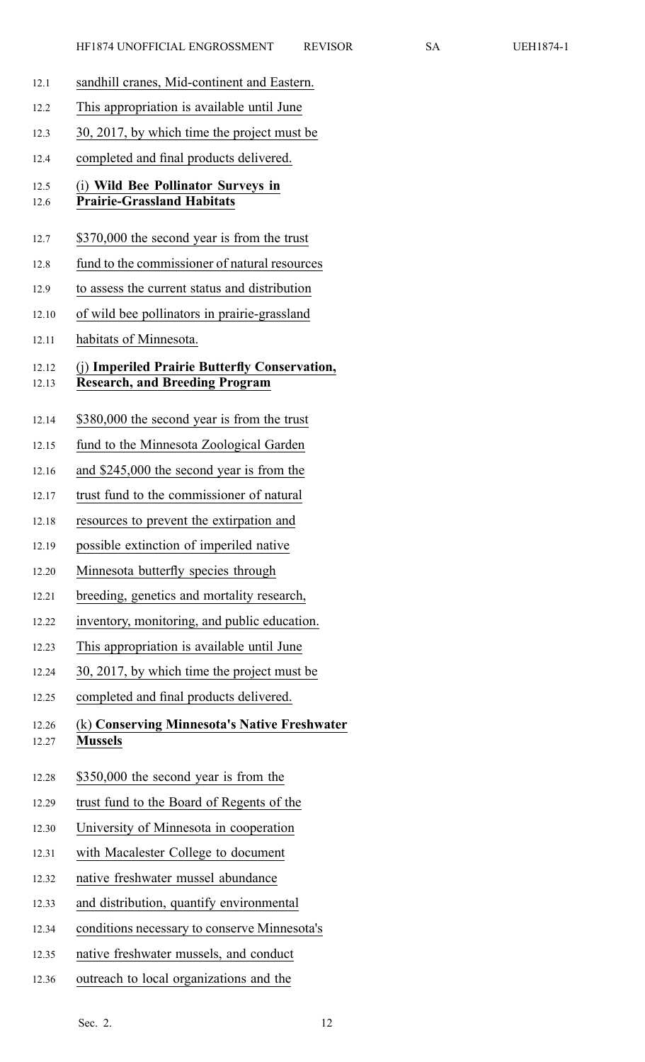| 12.1           | sandhill cranes, Mid-continent and Eastern.                                            |
|----------------|----------------------------------------------------------------------------------------|
| 12.2           | This appropriation is available until June                                             |
| 12.3           | 30, 2017, by which time the project must be                                            |
| 12.4           | completed and final products delivered.                                                |
| 12.5<br>12.6   | (i) Wild Bee Pollinator Surveys in<br><b>Prairie-Grassland Habitats</b>                |
| 12.7           | \$370,000 the second year is from the trust                                            |
| 12.8           | fund to the commissioner of natural resources                                          |
| 12.9           | to assess the current status and distribution                                          |
| 12.10          | of wild bee pollinators in prairie-grassland                                           |
| 12.11          | habitats of Minnesota.                                                                 |
| 12.12<br>12.13 | (j) Imperiled Prairie Butterfly Conservation,<br><b>Research, and Breeding Program</b> |
| 12.14          | \$380,000 the second year is from the trust                                            |
| 12.15          | fund to the Minnesota Zoological Garden                                                |
| 12.16          | and \$245,000 the second year is from the                                              |
| 12.17          | trust fund to the commissioner of natural                                              |
| 12.18          | resources to prevent the extirpation and                                               |
| 12.19          | possible extinction of imperiled native                                                |
| 12.20          | Minnesota butterfly species through                                                    |
| 12.21          | breeding, genetics and mortality research,                                             |
| 12.22          | inventory, monitoring, and public education.                                           |
| 12.23          | This appropriation is available until June                                             |
| 12.24          | 30, 2017, by which time the project must be                                            |
| 12.25          | completed and final products delivered.                                                |
| 12.26<br>12.27 | (k) Conserving Minnesota's Native Freshwater<br><b>Mussels</b>                         |
| 12.28          | \$350,000 the second year is from the                                                  |
| 12.29          | trust fund to the Board of Regents of the                                              |
| 12.30          | University of Minnesota in cooperation                                                 |
| 12.31          | with Macalester College to document                                                    |
| 12.32          | native freshwater mussel abundance                                                     |
| 12.33          | and distribution, quantify environmental                                               |
|                |                                                                                        |

- 12.34 conditions necessary to conserve Minnesota's
- 12.35 native freshwater mussels, and conduct
- 12.36 outreach to local organizations and the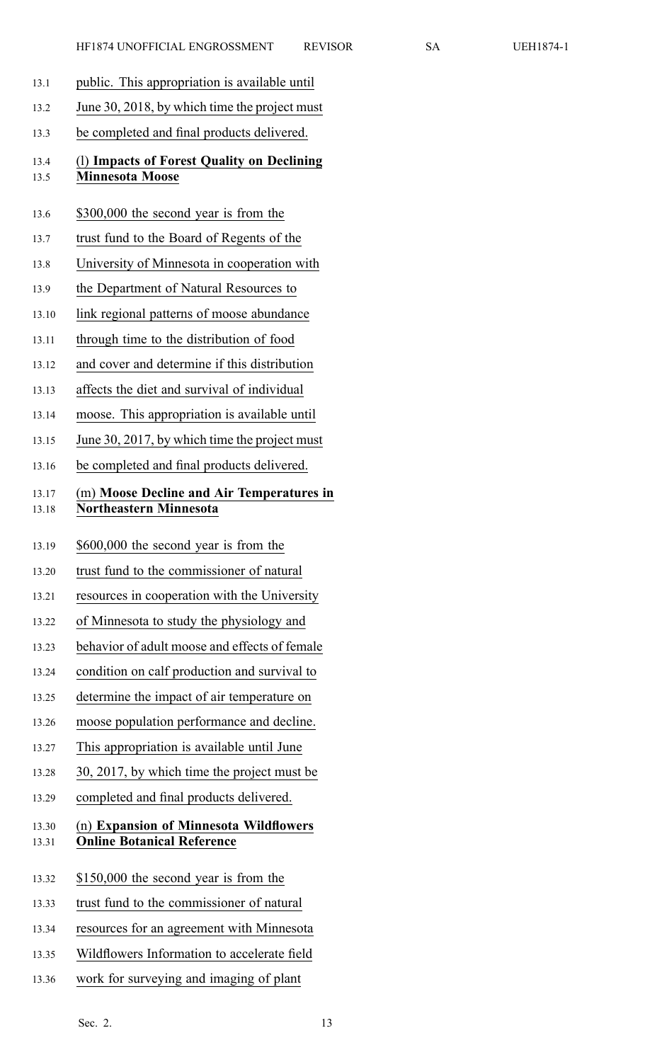- 13.1 public. This appropriation is available until
- 13.2 June 30, 2018, by which time the project must
- 13.3 be completed and final products delivered.

# 13.4 (l) **Impacts of Forest Quality on Declining** 13.5 **Minnesota Moose**

- 13.6 \$300,000 the second year is from the
- 13.7 trust fund to the Board of Regents of the
- 13.8 University of Minnesota in cooperation with
- 13.9 the Department of Natural Resources to
- 13.10 link regional patterns of moose abundance
- 13.11 through time to the distribution of food
- 13.12 and cover and determine if this distribution
- 13.13 affects the diet and survival of individual
- 13.14 moose. This appropriation is available until
- 13.15 June 30, 2017, by which time the project must
- 13.16 be completed and final products delivered.

# 13.17 (m) **Moose Decline and Air Temperatures in** 13.18 **Northeastern Minnesota**

- 13.19 \$600,000 the second year is from the
- 13.20 trust fund to the commissioner of natural
- 13.21 resources in cooperation with the University
- 13.22 of Minnesota to study the physiology and
- 13.23 behavior of adult moose and effects of female
- 13.24 condition on calf production and survival to
- 13.25 determine the impact of air temperature on
- 13.26 moose population performance and decline.
- 13.27 This appropriation is available until June
- 13.28 30, 2017, by which time the project must be
- 13.29 completed and final products delivered.

# 13.30 (n) **Expansion of Minnesota Wildflowers** 13.31 **Online Botanical Reference**

- 13.32 \$150,000 the second year is from the
- 13.33 trust fund to the commissioner of natural
- 13.34 resources for an agreemen<sup>t</sup> with Minnesota
- 13.35 Wildflowers Information to accelerate field
- 13.36 work for surveying and imaging of plant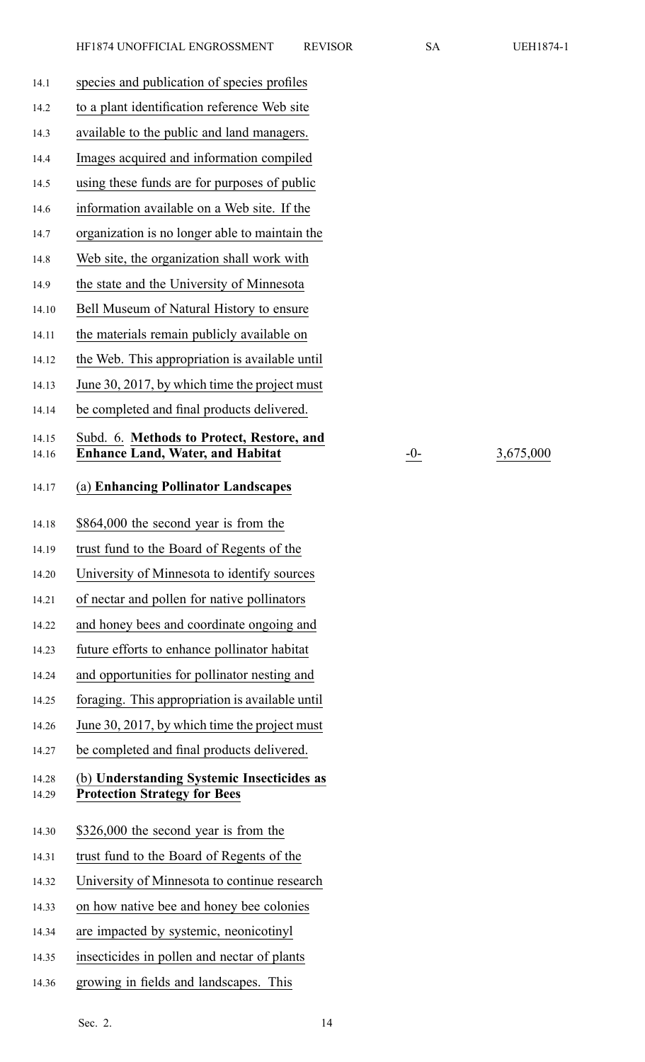14.16 **Enhance Land, Water, and Habitat** -0- 3,675,000

| 14.1           | species and publication of species profiles                                           |
|----------------|---------------------------------------------------------------------------------------|
| 14.2           | to a plant identification reference Web site                                          |
| 14.3           | available to the public and land managers.                                            |
| 14.4           | Images acquired and information compiled                                              |
| 14.5           | using these funds are for purposes of public                                          |
| 14.6           | information available on a Web site. If the                                           |
| 14.7           | organization is no longer able to maintain the                                        |
| 14.8           | Web site, the organization shall work with                                            |
| 14.9           | the state and the University of Minnesota                                             |
| 14.10          | Bell Museum of Natural History to ensure                                              |
| 14.11          | the materials remain publicly available on                                            |
| 14.12          | the Web. This appropriation is available until                                        |
| 14.13          | June 30, 2017, by which time the project must                                         |
| 14.14          | be completed and final products delivered.                                            |
| 14.15          | Subd. 6. Methods to Protect, Restore, and                                             |
| 14.16          | <b>Enhance Land, Water, and Habitat</b>                                               |
| 14.17          | (a) Enhancing Pollinator Landscapes                                                   |
| 14.18          | \$864,000 the second year is from the                                                 |
|                |                                                                                       |
| 14.19          | trust fund to the Board of Regents of the                                             |
| 14.20          | University of Minnesota to identify sources                                           |
| 14.21          | of nectar and pollen for native pollinators                                           |
| 14.22          | and honey bees and coordinate ongoing and                                             |
| 14.23          | future efforts to enhance pollinator habitat                                          |
| 14.24          | and opportunities for pollinator nesting and                                          |
| 14.25          | foraging. This appropriation is available until                                       |
| 14.26          | June 30, 2017, by which time the project must                                         |
| 14.27          | be completed and final products delivered.                                            |
| 14.28<br>14.29 | (b) Understanding Systemic Insecticides as<br><b>Protection Strategy for Bees</b>     |
|                |                                                                                       |
| 14.30          | \$326,000 the second year is from the                                                 |
| 14.31          | trust fund to the Board of Regents of the                                             |
| 14.32          | University of Minnesota to continue research                                          |
| 14.33          | on how native bee and honey bee colonies                                              |
| 14.34          | are impacted by systemic, neonicotinyl                                                |
| 14.35          | insecticides in pollen and nectar of plants<br>growing in fields and landscapes. This |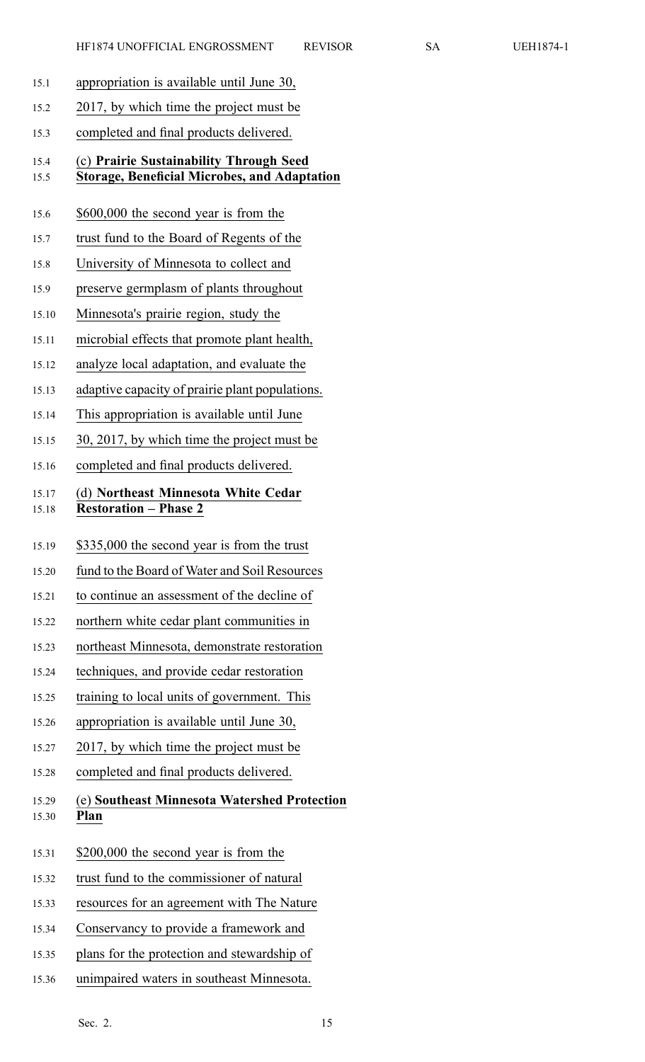- 15.1 appropriation is available until June 30,
- 15.2 2017, by which time the project must be
- 15.3 completed and final products delivered.

#### 15.4 (c) **Prairie Sustainability Through Seed** 15.5 **Storage, Beneficial Microbes, and Adaptation**

- 15.6 \$600,000 the second year is from the
- 15.7 trust fund to the Board of Regents of the
- 15.8 University of Minnesota to collect and
- 15.9 preserve germplasm of plants throughout
- 15.10 Minnesota's prairie region, study the
- 15.11 microbial effects that promote plant health,
- 15.12 analyze local adaptation, and evaluate the
- 15.13 adaptive capacity of prairie plant populations.
- 15.14 This appropriation is available until June
- 15.15 30, 2017, by which time the project must be
- 15.16 completed and final products delivered.

## 15.17 (d) **Northeast Minnesota White Cedar** 15.18 **Restoration – Phase 2**

- 15.19 \$335,000 the second year is from the trust
- 15.20 fund to the Board of Water and Soil Resources
- 15.21 to continue an assessment of the decline of
- 15.22 northern white cedar plant communities in
- 15.23 northeast Minnesota, demonstrate restoration
- 15.24 techniques, and provide cedar restoration
- 15.25 training to local units of government. This
- 15.26 appropriation is available until June 30,
- 15.27 2017, by which time the project must be
- 15.28 completed and final products delivered.
- 15.29 (e) **Southeast Minnesota Watershed Protection** 15.30 **Plan**
- 15.31 \$200,000 the second year is from the
- 15.32 trust fund to the commissioner of natural
- 15.33 resources for an agreemen<sup>t</sup> with The Nature
- 15.34 Conservancy to provide <sup>a</sup> framework and
- 15.35 plans for the protection and stewardship of
- 15.36 unimpaired waters in southeast Minnesota.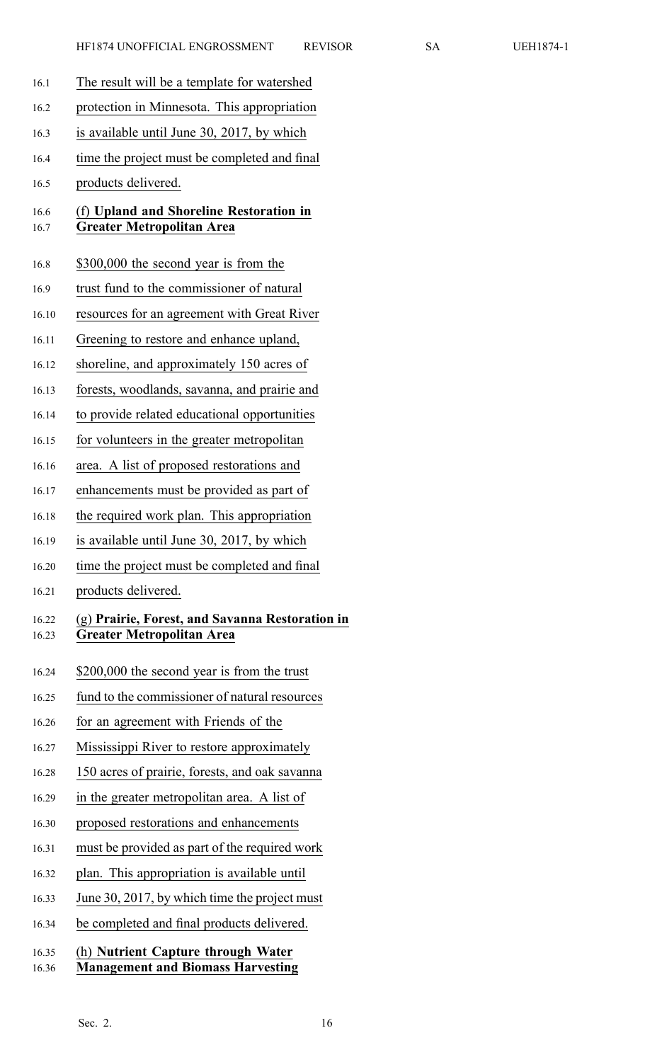| 16.1           | The result will be a template for watershed                                         |
|----------------|-------------------------------------------------------------------------------------|
| 16.2           | protection in Minnesota. This appropriation                                         |
| 16.3           | is available until June 30, 2017, by which                                          |
| 16.4           | time the project must be completed and final                                        |
| 16.5           | products delivered.                                                                 |
| 16.6<br>16.7   | (f) Upland and Shoreline Restoration in<br><b>Greater Metropolitan Area</b>         |
| 16.8           | \$300,000 the second year is from the                                               |
| 16.9           | trust fund to the commissioner of natural                                           |
| 16.10          | resources for an agreement with Great River                                         |
| 16.11          | Greening to restore and enhance upland,                                             |
| 16.12          | shoreline, and approximately 150 acres of                                           |
| 16.13          | forests, woodlands, savanna, and prairie and                                        |
| 16.14          | to provide related educational opportunities                                        |
| 16.15          | for volunteers in the greater metropolitan                                          |
| 16.16          | area. A list of proposed restorations and                                           |
| 16.17          | enhancements must be provided as part of                                            |
| 16.18          | the required work plan. This appropriation                                          |
| 16.19          | is available until June 30, 2017, by which                                          |
| 16.20          | time the project must be completed and final                                        |
| 16.21          | products delivered.                                                                 |
| 16.22<br>16.23 | (g) Prairie, Forest, and Savanna Restoration in<br><b>Greater Metropolitan Area</b> |
| 16.24          | \$200,000 the second year is from the trust                                         |
| 16.25          | fund to the commissioner of natural resources                                       |
| 16.26          | for an agreement with Friends of the                                                |
| 16.27          | Mississippi River to restore approximately                                          |
| 16.28          | 150 acres of prairie, forests, and oak savanna                                      |
| 16.29          | in the greater metropolitan area. A list of                                         |
| 16.30          | proposed restorations and enhancements                                              |
| 16.31          | must be provided as part of the required work                                       |
| 16.32          | plan. This appropriation is available until                                         |
| 16.33          | June 30, 2017, by which time the project must                                       |
| 16.34          | be completed and final products delivered.                                          |
| 16.35<br>16.36 | (h) Nutrient Capture through Water<br><b>Management and Biomass Harvesting</b>      |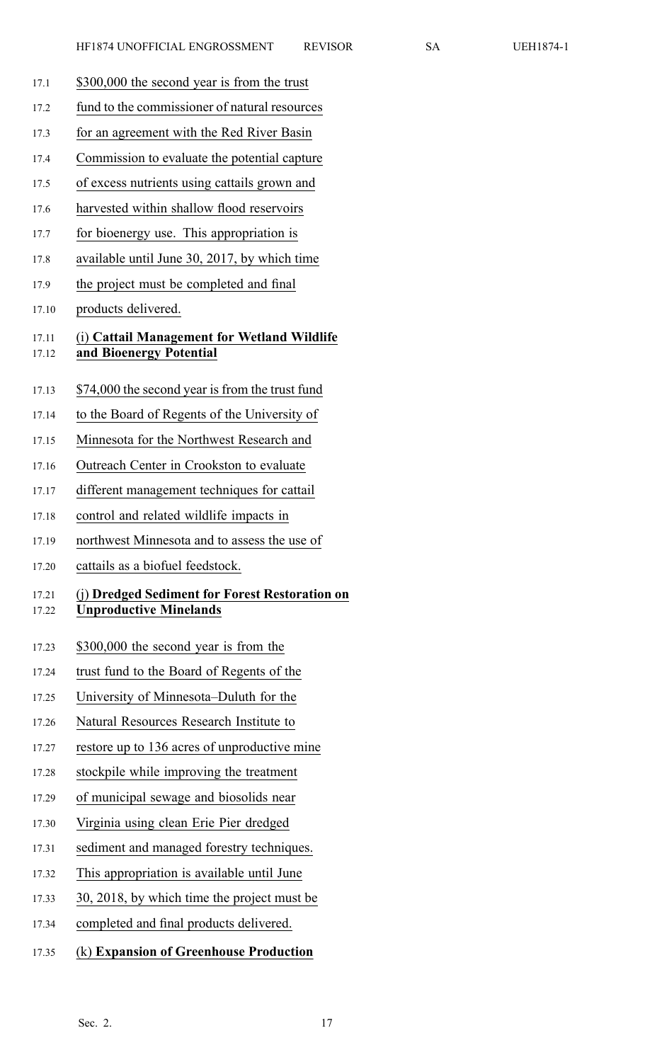- 17.1 \$300,000 the second year is from the trust
- 17.2 fund to the commissioner of natural resources
- 17.3 for an agreemen<sup>t</sup> with the Red River Basin
- 17.4 Commission to evaluate the potential capture
- 17.5 of excess nutrients using cattails grown and
- 17.6 harvested within shallow flood reservoirs
- 17.7 for bioenergy use. This appropriation is
- 17.8 available until June 30, 2017, by which time
- 17.9 the project must be completed and final
- 17.10 products delivered.

#### 17.11 (i) **Cattail Management for Wetland Wildlife** 17.12 **and Bioenergy Potential**

- 17.13 \$74,000 the second year is from the trust fund
- 17.14 to the Board of Regents of the University of
- 17.15 Minnesota for the Northwest Research and
- 17.16 Outreach Center in Crookston to evaluate
- 17.17 different managemen<sup>t</sup> techniques for cattail
- 17.18 control and related wildlife impacts in
- 17.19 northwest Minnesota and to assess the use of
- 17.20 cattails as <sup>a</sup> biofuel feedstock.

#### 17.21 (j) **Dredged Sediment for Forest Restoration on** 17.22 **Unproductive Minelands**

- 17.23 \$300,000 the second year is from the
- 17.24 trust fund to the Board of Regents of the
- 17.25 University of Minnesota–Duluth for the
- 17.26 Natural Resources Research Institute to
- 17.27 restore up to 136 acres of unproductive mine
- 17.28 stockpile while improving the treatment
- 17.29 of municipal sewage and biosolids near
- 17.30 Virginia using clean Erie Pier dredged
- 17.31 sediment and managed forestry techniques.
- 17.32 This appropriation is available until June
- 17.33 30, 2018, by which time the project must be
- 17.34 completed and final products delivered.
- 17.35 (k) **Expansion of Greenhouse Production**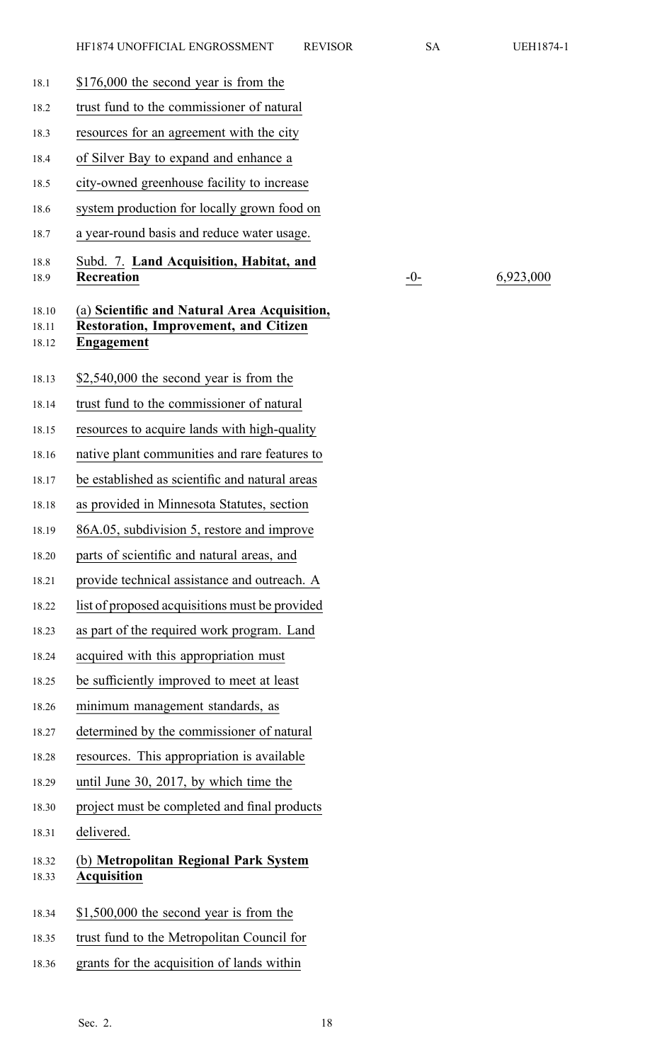18.1 \$176,000 the second year is from the 18.2 trust fund to the commissioner of natural 18.3 resources for an agreemen<sup>t</sup> with the city 18.4 of Silver Bay to expand and enhance <sup>a</sup> 18.5 city-owned greenhouse facility to increase 18.6 system production for locally grown food on 18.7 <sup>a</sup> year-round basis and reduce water usage. 18.8 Subd. 7. **Land Acquisition, Habitat, and** 18.9 **Recreation 6,923,000** 18.10 (a) **Scientific and Natural Area Acquisition,** 18.11 **Restoration, Improvement, and Citizen** 18.12 **Engagement** 18.13 \$2,540,000 the second year is from the 18.14 trust fund to the commissioner of natural 18.15 resources to acquire lands with high-quality 18.16 native plant communities and rare features to 18.17 be established as scientific and natural areas 18.18 as provided in Minnesota Statutes, section 18.19 86A.05, subdivision 5, restore and improve 18.20 parts of scientific and natural areas, and 18.21 provide technical assistance and outreach. A 18.22 list of proposed acquisitions must be provided 18.23 as par<sup>t</sup> of the required work program. Land 18.24 acquired with this appropriation must 18.25 be sufficiently improved to meet at least 18.26 minimum managemen<sup>t</sup> standards, as 18.27 determined by the commissioner of natural 18.28 resources. This appropriation is available 18.29 until June 30, 2017, by which time the 18.30 project must be completed and final products 18.31 delivered. 18.32 (b) **Metropolitan Regional Park System** 18.33 **Acquisition** 18.34 \$1,500,000 the second year is from the 18.35 trust fund to the Metropolitan Council for 18.36 grants for the acquisition of lands within Sec. 2. 18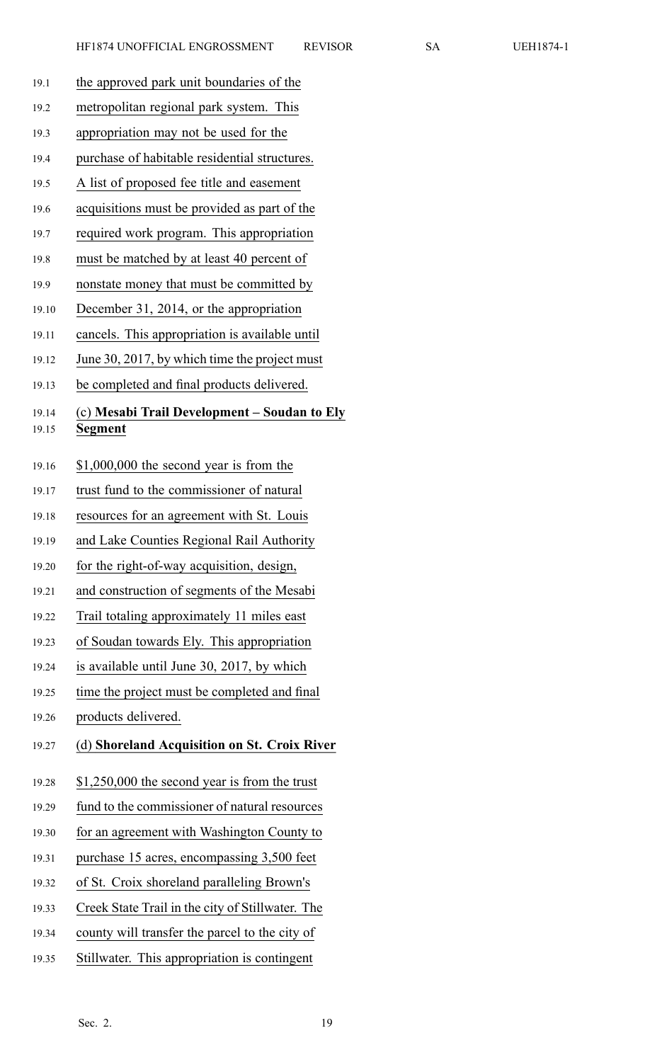| 19.1  | the approved park unit boundaries of the         |
|-------|--------------------------------------------------|
| 19.2  | metropolitan regional park system. This          |
| 19.3  | appropriation may not be used for the            |
| 19.4  | purchase of habitable residential structures.    |
| 19.5  | A list of proposed fee title and easement        |
| 19.6  | acquisitions must be provided as part of the     |
| 19.7  | required work program. This appropriation        |
| 19.8  | must be matched by at least 40 percent of        |
| 19.9  | nonstate money that must be committed by         |
| 19.10 | December 31, 2014, or the appropriation          |
| 19.11 | cancels. This appropriation is available until   |
| 19.12 | June 30, 2017, by which time the project must    |
| 19.13 | be completed and final products delivered.       |
| 19.14 | (c) Mesabi Trail Development – Soudan to Ely     |
| 19.15 | Segment                                          |
| 19.16 | $$1,000,000$ the second year is from the         |
| 19.17 | trust fund to the commissioner of natural        |
| 19.18 | resources for an agreement with St. Louis        |
| 19.19 | and Lake Counties Regional Rail Authority        |
| 19.20 | for the right-of-way acquisition, design,        |
| 19.21 | and construction of segments of the Mesabi       |
| 19.22 | Trail totaling approximately 11 miles east       |
| 19.23 | of Soudan towards Ely. This appropriation        |
| 19.24 | is available until June 30, 2017, by which       |
| 19.25 | time the project must be completed and final     |
| 19.26 | products delivered.                              |
| 19.27 | (d) Shoreland Acquisition on St. Croix River     |
| 19.28 | $$1,250,000$ the second year is from the trust   |
| 19.29 | fund to the commissioner of natural resources    |
| 19.30 | for an agreement with Washington County to       |
| 19.31 | purchase 15 acres, encompassing 3,500 feet       |
| 19.32 | of St. Croix shoreland paralleling Brown's       |
| 19.33 | Creek State Trail in the city of Stillwater. The |
| 19.34 | county will transfer the parcel to the city of   |
| 19.35 | Stillwater. This appropriation is contingent     |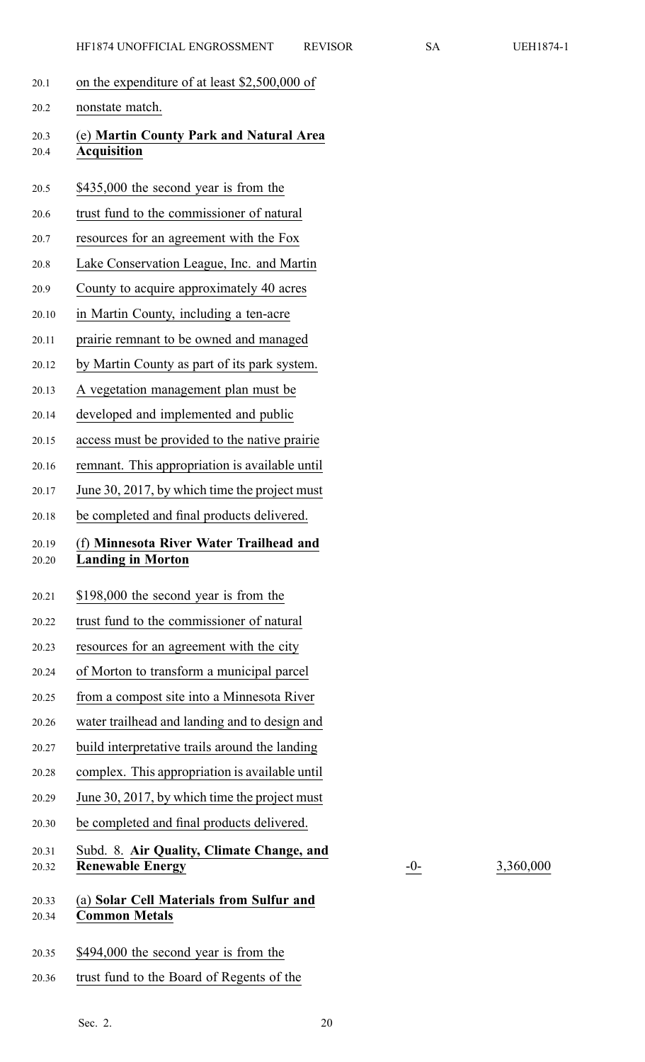| 20.1           | on the expenditure of at least \$2,500,000 of                        |
|----------------|----------------------------------------------------------------------|
| 20.2           | nonstate match.                                                      |
| 20.3<br>20.4   | (e) Martin County Park and Natural Area<br><b>Acquisition</b>        |
| 20.5           | \$435,000 the second year is from the                                |
| 20.6           | trust fund to the commissioner of natural                            |
| 20.7           | resources for an agreement with the Fox                              |
| 20.8           | Lake Conservation League, Inc. and Martin                            |
| 20.9           | County to acquire approximately 40 acres                             |
| 20.10          | in Martin County, including a ten-acre                               |
| 20.11          | prairie remnant to be owned and managed                              |
| 20.12          | by Martin County as part of its park system.                         |
| 20.13          | A vegetation management plan must be                                 |
| 20.14          | developed and implemented and public                                 |
| 20.15          | access must be provided to the native prairie                        |
| 20.16          | remnant. This appropriation is available until                       |
| 20.17          | June 30, 2017, by which time the project must                        |
| 20.18          | be completed and final products delivered.                           |
|                |                                                                      |
| 20.19<br>20.20 | (f) Minnesota River Water Trailhead and<br><b>Landing in Morton</b>  |
| 20.21          | \$198,000 the second year is from the                                |
| 20.22          | trust fund to the commissioner of natural                            |
| 20.23          | resources for an agreement with the city                             |
| 20.24          | of Morton to transform a municipal parcel                            |
| 20.25          | from a compost site into a Minnesota River                           |
| 20.26          | water trailhead and landing and to design and                        |
| 20.27          | build interpretative trails around the landing                       |
| 20.28          | complex. This appropriation is available until                       |
| 20.29          | June 30, 2017, by which time the project must                        |
| 20.30          | be completed and final products delivered.                           |
| 20.31<br>20.32 | Subd. 8. Air Quality, Climate Change, and<br><b>Renewable Energy</b> |
| 20.33<br>20.34 | (a) Solar Cell Materials from Sulfur and<br><b>Common Metals</b>     |

20.36 trust fund to the Board of Regents of the

20.32 **Renewable Energy** -0- 3,360,000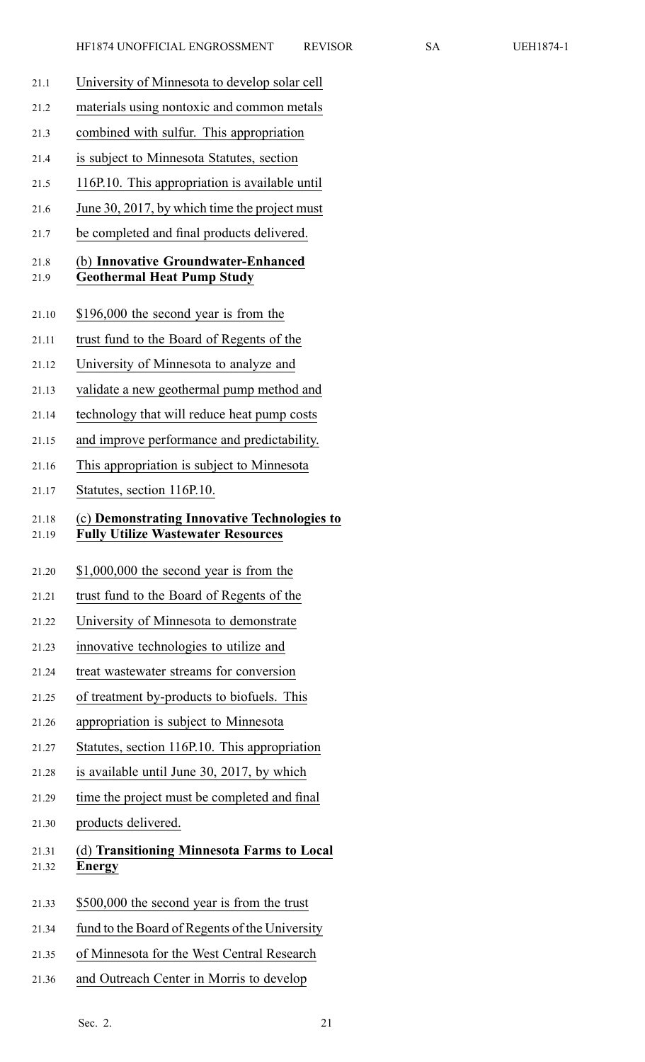- 21.1 University of Minnesota to develop solar cell
- 21.2 materials using nontoxic and common metals
- 21.3 combined with sulfur. This appropriation
- 21.4 is subject to Minnesota Statutes, section
- 21.5 116P.10. This appropriation is available until
- 21.6 June 30, 2017, by which time the project must
- 21.7 be completed and final products delivered.

#### 21.8 (b) **Innovative Groundwater-Enhanced** 21.9 **Geothermal Heat Pump Study**

- 21.10 \$196,000 the second year is from the
- 21.11 trust fund to the Board of Regents of the
- 21.12 University of Minnesota to analyze and
- 21.13 validate <sup>a</sup> new geothermal pump method and
- 21.14 technology that will reduce heat pump costs
- 21.15 and improve performance and predictability.
- 21.16 This appropriation is subject to Minnesota
- 21.17 Statutes, section 116P.10.

# 21.18 (c) **Demonstrating Innovative Technologies to**

- 21.19 **Fully Utilize Wastewater Resources**
- 21.20 \$1,000,000 the second year is from the
- 21.21 trust fund to the Board of Regents of the
- 21.22 University of Minnesota to demonstrate
- 21.23 innovative technologies to utilize and
- 21.24 treat wastewater streams for conversion
- 21.25 of treatment by-products to biofuels. This
- 21.26 appropriation is subject to Minnesota
- 21.27 Statutes, section 116P.10. This appropriation
- 21.28 is available until June 30, 2017, by which
- 21.29 time the project must be completed and final
- 21.30 products delivered.

# 21.31 (d) **Transitioning Minnesota Farms to Local** 21.32 **Energy**

- 21.33 \$500,000 the second year is from the trust
- 21.34 fund to the Board of Regents of the University
- 21.35 of Minnesota for the West Central Research
- 21.36 and Outreach Center in Morris to develop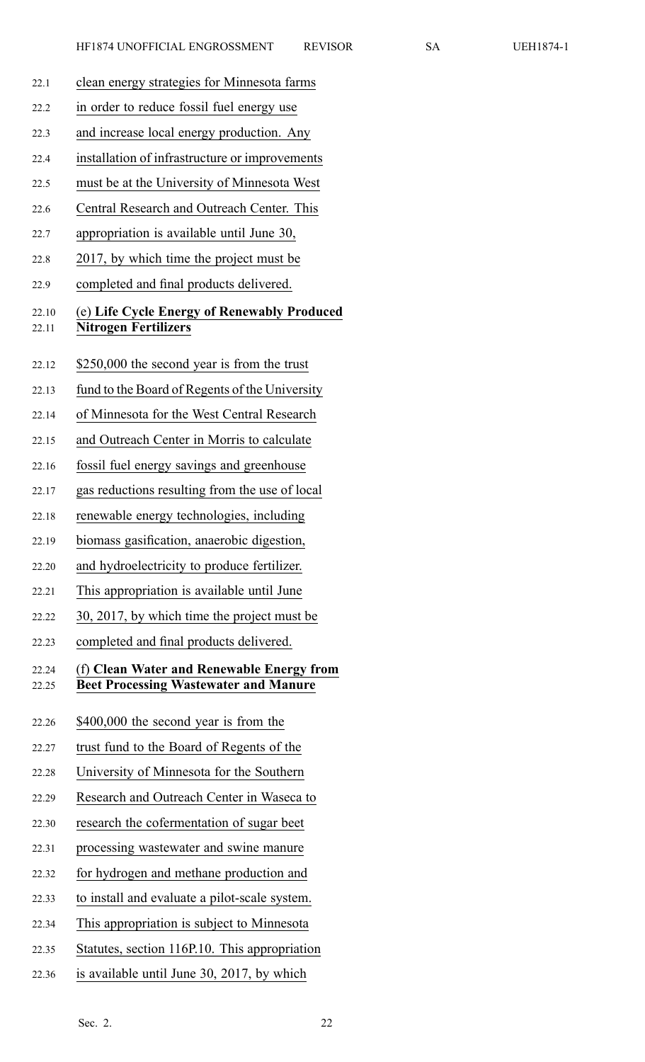22.1 clean energy strategies for Minnesota farms 22.2 in order to reduce fossil fuel energy use 22.3 and increase local energy production. Any 22.4 installation of infrastructure or improvements 22.5 must be at the University of Minnesota West 22.6 Central Research and Outreach Center. This 22.7 appropriation is available until June 30, 22.8 2017, by which time the project must be 22.9 completed and final products delivered. 22.10 (e) **Life Cycle Energy of Renewably Produced** 22.11 **Nitrogen Fertilizers** 22.12 \$250,000 the second year is from the trust 22.13 fund to the Board of Regents of the University 22.14 of Minnesota for the West Central Research 22.15 and Outreach Center in Morris to calculate 22.16 fossil fuel energy savings and greenhouse 22.17 gas reductions resulting from the use of local 22.18 renewable energy technologies, including 22.19 biomass gasification, anaerobic digestion, 22.20 and hydroelectricity to produce fertilizer. 22.21 This appropriation is available until June 22.22 30, 2017, by which time the project must be 22.23 completed and final products delivered. 22.24 (f) **Clean Water and Renewable Energy from** 22.25 **Beet Processing Wastewater and Manure** 22.26 \$400,000 the second year is from the 22.27 trust fund to the Board of Regents of the 22.28 University of Minnesota for the Southern 22.29 Research and Outreach Center in Waseca to 22.30 research the cofermentation of sugar beet 22.31 processing wastewater and swine manure 22.32 for hydrogen and methane production and 22.33 to install and evaluate <sup>a</sup> pilot-scale system. 22.34 This appropriation is subject to Minnesota 22.35 Statutes, section 116P.10. This appropriation 22.36 is available until June 30, 2017, by which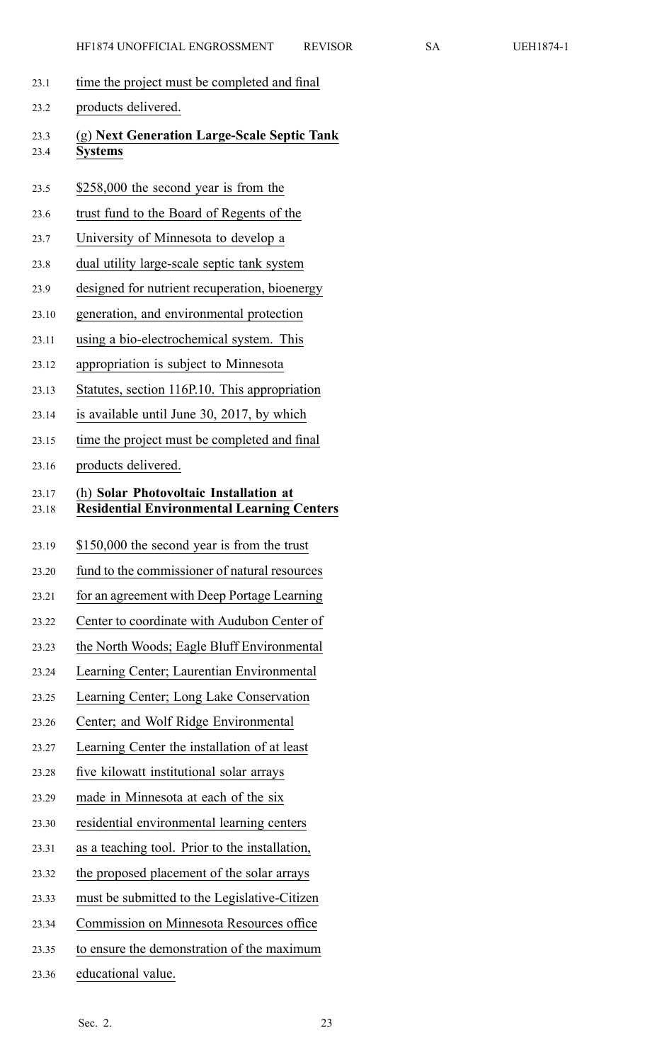- 23.1 time the project must be completed and final
- 23.2 products delivered. 23.3 (g) **Next Generation Large-Scale Septic Tank** 23.4 **Systems**
	- 23.5 \$258,000 the second year is from the
	- 23.6 trust fund to the Board of Regents of the
	- 23.7 University of Minnesota to develop <sup>a</sup>
	- 23.8 dual utility large-scale septic tank system
	- 23.9 designed for nutrient recuperation, bioenergy
	- 23.10 generation, and environmental protection
	- 23.11 using <sup>a</sup> bio-electrochemical system. This
	- 23.12 appropriation is subject to Minnesota
	- 23.13 Statutes, section 116P.10. This appropriation
	- 23.14 is available until June 30, 2017, by which
	- 23.15 time the project must be completed and final
	- 23.16 products delivered.

## 23.17 (h) **Solar Photovoltaic Installation at** 23.18 **Residential Environmental Learning Centers**

- 23.19 \$150,000 the second year is from the trust
- 23.20 fund to the commissioner of natural resources
- 23.21 for an agreemen<sup>t</sup> with Deep Portage Learning
- 23.22 Center to coordinate with Audubon Center of
- 23.23 the North Woods; Eagle Bluff Environmental
- 23.24 Learning Center; Laurentian Environmental
- 23.25 Learning Center; Long Lake Conservation
- 23.26 Center; and Wolf Ridge Environmental
- 23.27 Learning Center the installation of at least
- 23.28 five kilowatt institutional solar arrays
- 23.29 made in Minnesota at each of the six
- 23.30 residential environmental learning centers
- 23.31 as <sup>a</sup> teaching tool. Prior to the installation,
- 23.32 the proposed placement of the solar arrays
- 23.33 must be submitted to the Legislative-Citizen
- 23.34 Commission on Minnesota Resources office
- 23.35 to ensure the demonstration of the maximum
- 23.36 educational value.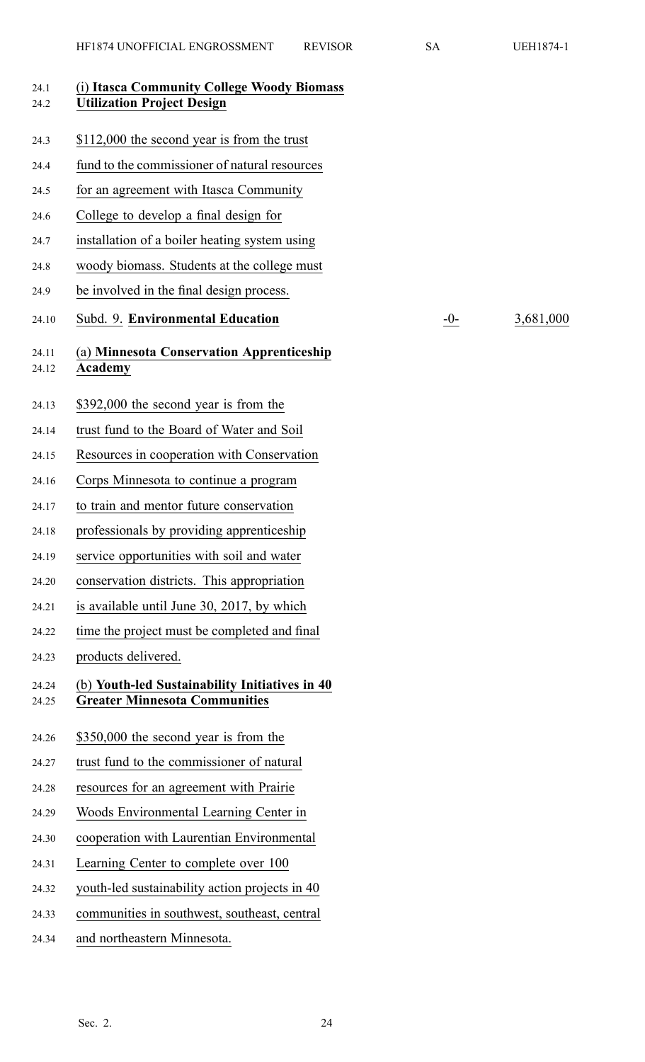| 24.1<br>24.2   | (i) Itasca Community College Woody Biomass<br><b>Utilization Project Design</b>        |       |           |
|----------------|----------------------------------------------------------------------------------------|-------|-----------|
| 24.3           | \$112,000 the second year is from the trust                                            |       |           |
| 24.4           | fund to the commissioner of natural resources                                          |       |           |
| 24.5           | for an agreement with Itasca Community                                                 |       |           |
| 24.6           | College to develop a final design for                                                  |       |           |
| 24.7           | installation of a boiler heating system using                                          |       |           |
| 24.8           | woody biomass. Students at the college must                                            |       |           |
| 24.9           | be involved in the final design process.                                               |       |           |
| 24.10          | Subd. 9. Environmental Education                                                       | $-0-$ | 3,681,000 |
| 24.11<br>24.12 | (a) Minnesota Conservation Apprenticeship<br><b>Academy</b>                            |       |           |
| 24.13          | \$392,000 the second year is from the                                                  |       |           |
| 24.14          | trust fund to the Board of Water and Soil                                              |       |           |
| 24.15          | Resources in cooperation with Conservation                                             |       |           |
| 24.16          | Corps Minnesota to continue a program                                                  |       |           |
| 24.17          | to train and mentor future conservation                                                |       |           |
| 24.18          | professionals by providing apprenticeship                                              |       |           |
| 24.19          | service opportunities with soil and water                                              |       |           |
| 24.20          | conservation districts. This appropriation                                             |       |           |
| 24.21          | is available until June 30, 2017, by which                                             |       |           |
| 24.22          | time the project must be completed and final                                           |       |           |
| 24.23          | products delivered.                                                                    |       |           |
| 24.24<br>24.25 | (b) Youth-led Sustainability Initiatives in 40<br><b>Greater Minnesota Communities</b> |       |           |
| 24.26          | \$350,000 the second year is from the                                                  |       |           |
| 24.27          | trust fund to the commissioner of natural                                              |       |           |
| 24.28          | resources for an agreement with Prairie                                                |       |           |
| 24.29          | Woods Environmental Learning Center in                                                 |       |           |
| 24.30          | cooperation with Laurentian Environmental                                              |       |           |
| 24.31          | Learning Center to complete over 100                                                   |       |           |
| 24.32          | youth-led sustainability action projects in 40                                         |       |           |
| 24.33          | communities in southwest, southeast, central                                           |       |           |
| 24.34          | and northeastern Minnesota.                                                            |       |           |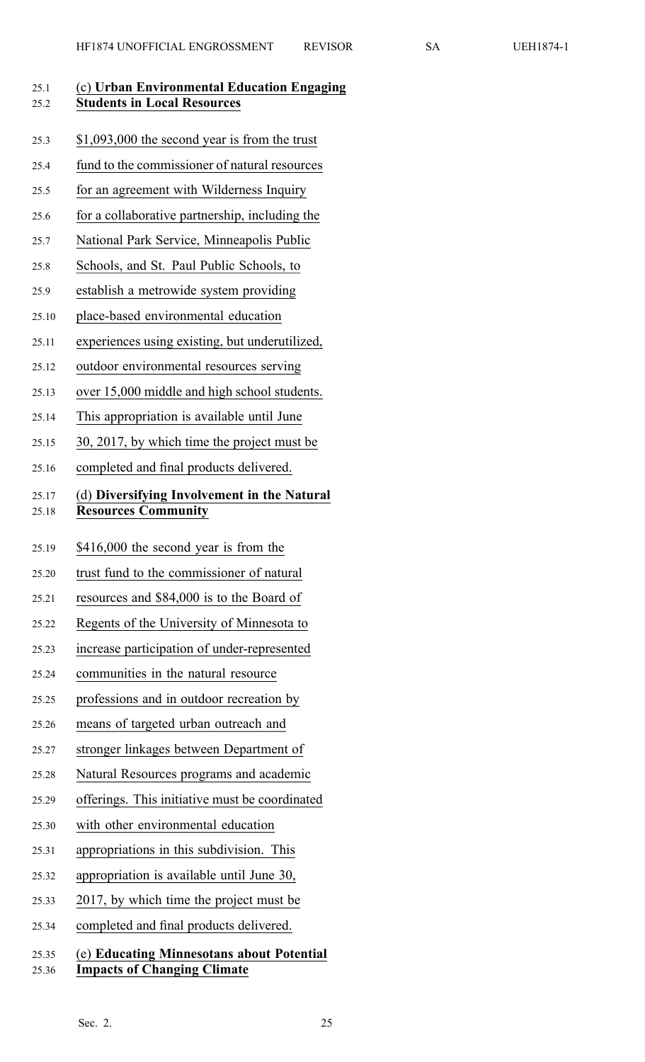| 25.1<br>25.2   | (c) Urban Environmental Education Engaging<br><b>Students in Local Resources</b> |
|----------------|----------------------------------------------------------------------------------|
| 25.3           | \$1,093,000 the second year is from the trust                                    |
| 25.4           | fund to the commissioner of natural resources                                    |
| 25.5           | for an agreement with Wilderness Inquiry                                         |
| 25.6           | for a collaborative partnership, including the                                   |
| 25.7           | National Park Service, Minneapolis Public                                        |
| 25.8           | Schools, and St. Paul Public Schools, to                                         |
| 25.9           | establish a metrowide system providing                                           |
| 25.10          | place-based environmental education                                              |
| 25.11          | experiences using existing, but underutilized,                                   |
| 25.12          | outdoor environmental resources serving                                          |
| 25.13          | over 15,000 middle and high school students.                                     |
| 25.14          | This appropriation is available until June                                       |
| 25.15          | 30, 2017, by which time the project must be                                      |
| 25.16          | completed and final products delivered.                                          |
| 25.17<br>25.18 | (d) Diversifying Involvement in the Natural<br><b>Resources Community</b>        |
| 25.19          | \$416,000 the second year is from the                                            |
| 25.20          | trust fund to the commissioner of natural                                        |
| 25.21          | resources and \$84,000 is to the Board of                                        |
| 25.22          | Regents of the University of Minnesota to                                        |
| 25.23          | increase participation of under-represented                                      |
| 25.24          | communities in the natural resource                                              |
| 25.25          | professions and in outdoor recreation by                                         |
| 25.26          | means of targeted urban outreach and                                             |
| 25.27          | stronger linkages between Department of                                          |
| 25.28          | Natural Resources programs and academic                                          |
| 25.29          | offerings. This initiative must be coordinated                                   |
| 25.30          | with other environmental education                                               |
| 25.31          | appropriations in this subdivision. This                                         |
| 25.32          | appropriation is available until June 30,                                        |
| 25.33          | 2017, by which time the project must be                                          |
| 25.34          | completed and final products delivered.                                          |
| 25.35<br>25.36 | (e) Educating Minnesotans about Potential<br><b>Impacts of Changing Climate</b>  |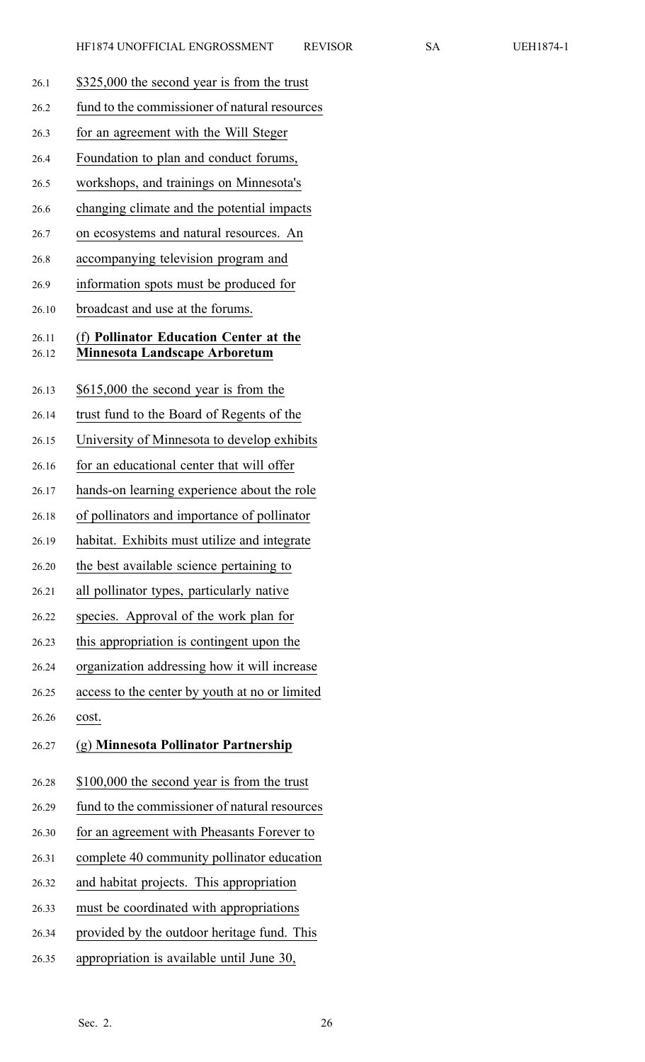- 26.1 \$325,000 the second year is from the trust 26.2 fund to the commissioner of natural resources 26.3 for an agreemen<sup>t</sup> with the Will Steger 26.4 Foundation to plan and conduct forums, 26.5 workshops, and trainings on Minnesota's 26.6 changing climate and the potential impacts 26.7 on ecosystems and natural resources. An 26.8 accompanying television program and 26.9 information spots must be produced for 26.10 broadcast and use at the forums. 26.11 (f) **Pollinator Education Center at the** 26.12 **Minnesota Landscape Arboretum** 26.13 \$615,000 the second year is from the 26.14 trust fund to the Board of Regents of the 26.15 University of Minnesota to develop exhibits 26.16 for an educational center that will offer 26.17 hands-on learning experience about the role 26.18 of pollinators and importance of pollinator 26.19 habitat. Exhibits must utilize and integrate 26.20 the best available science pertaining to 26.21 all pollinator types, particularly native 26.22 species. Approval of the work plan for 26.23 this appropriation is contingent upon the 26.24 organization addressing how it will increase 26.25 access to the center by youth at no or limited 26.26 cost. 26.27 (g) **Minnesota Pollinator Partnership** 26.28 \$100,000 the second year is from the trust 26.29 fund to the commissioner of natural resources 26.30 for an agreemen<sup>t</sup> with Pheasants Forever to 26.31 complete 40 community pollinator education
	- 26.32 and habitat projects. This appropriation
	- 26.33 must be coordinated with appropriations
	- 26.34 provided by the outdoor heritage fund. This
	- 26.35 appropriation is available until June 30,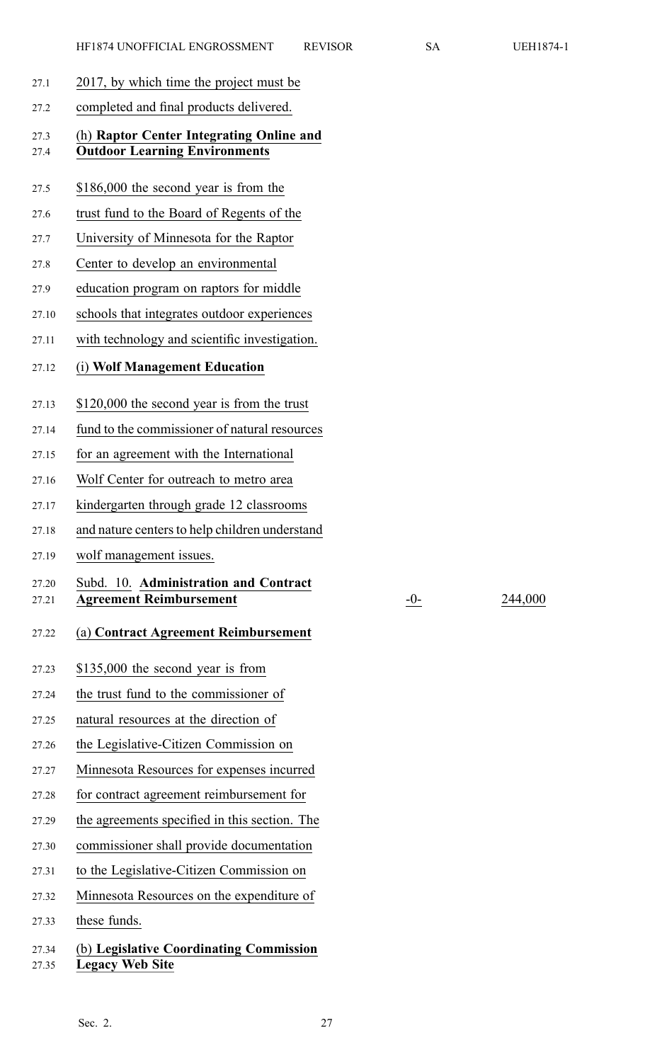- 27.1 2017, by which time the project must be
- 27.2 completed and final products delivered.

#### 27.3 (h) **Raptor Center Integrating Online and** 27.4 **Outdoor Learning Environments**

- 27.5 \$186,000 the second year is from the
- 27.6 trust fund to the Board of Regents of the
- 27.7 University of Minnesota for the Raptor
- 27.8 Center to develop an environmental
- 27.9 education program on raptors for middle
- 27.10 schools that integrates outdoor experiences
- 27.11 with technology and scientific investigation.
- 27.12 (i) **Wolf Management Education**
- 27.13 \$120,000 the second year is from the trust
- 27.14 fund to the commissioner of natural resources
- 27.15 for an agreemen<sup>t</sup> with the International
- 27.16 Wolf Center for outreach to metro area
- 27.17 kindergarten through grade 12 classrooms
- 27.18 and nature centers to help children understand
- 27.19 wolf managemen<sup>t</sup> issues.

### 27.20 Subd. 10. **Administration and Contract** 27.21 **Agreement Reimbursement** -0- 244,000

#### 27.22 (a) **Contract Agreement Reimbursement**

- 27.23 \$135,000 the second year is from
- 27.24 the trust fund to the commissioner of
- 27.25 natural resources at the direction of
- 27.26 the Legislative-Citizen Commission on
- 27.27 Minnesota Resources for expenses incurred
- 27.28 for contract agreemen<sup>t</sup> reimbursement for
- 27.29 the agreements specified in this section. The
- 27.30 commissioner shall provide documentation
- 27.31 to the Legislative-Citizen Commission on
- 27.32 Minnesota Resources on the expenditure of
- 27.33 these funds.

# 27.34 (b) **Legislative Coordinating Commission** 27.35 **Legacy Web Site**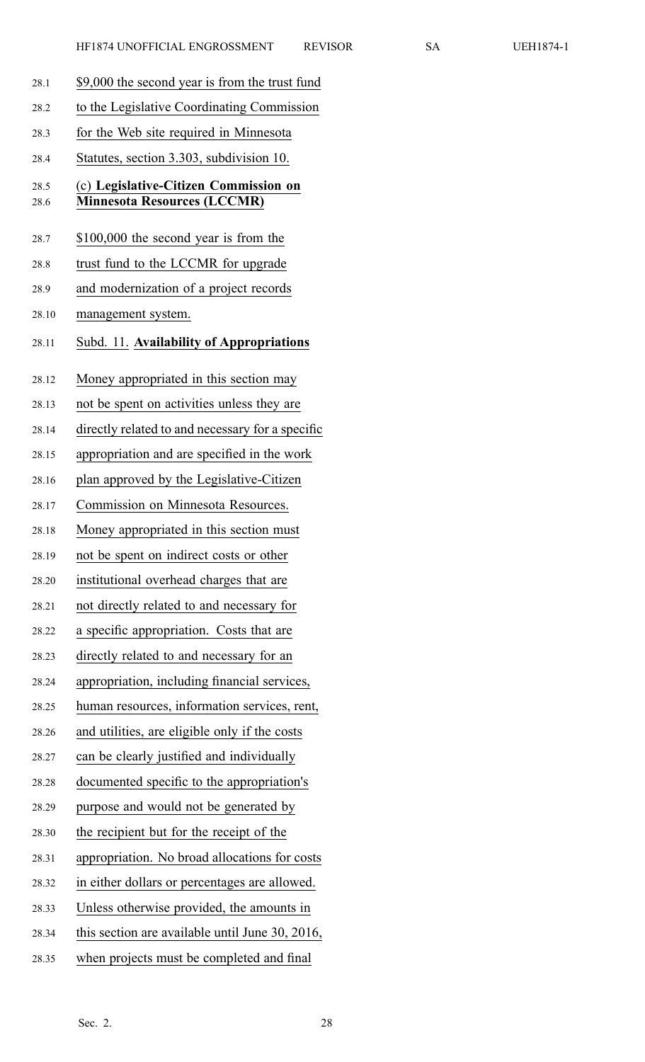| 28.1         | \$9,000 the second year is from the trust fund                              |
|--------------|-----------------------------------------------------------------------------|
| 28.2         | to the Legislative Coordinating Commission                                  |
| 28.3         | for the Web site required in Minnesota                                      |
| 28.4         | Statutes, section 3.303, subdivision 10.                                    |
| 28.5<br>28.6 | (c) Legislative-Citizen Commission on<br><b>Minnesota Resources (LCCMR)</b> |
| 28.7         | \$100,000 the second year is from the                                       |
| 28.8         | trust fund to the LCCMR for upgrade                                         |
| 28.9         | and modernization of a project records                                      |
| 28.10        | management system.                                                          |
| 28.11        | Subd. 11. Availability of Appropriations                                    |
| 28.12        | Money appropriated in this section may                                      |
| 28.13        | not be spent on activities unless they are                                  |
| 28.14        | directly related to and necessary for a specific                            |
| 28.15        | appropriation and are specified in the work                                 |
| 28.16        | plan approved by the Legislative-Citizen                                    |
| 28.17        | Commission on Minnesota Resources.                                          |
| 28.18        | Money appropriated in this section must                                     |
| 28.19        | not be spent on indirect costs or other                                     |
| 28.20        | institutional overhead charges that are                                     |
| 28.21        | not directly related to and necessary for                                   |
| 28.22        | a specific appropriation. Costs that are                                    |
| 28.23        | directly related to and necessary for an                                    |
| 28.24        | appropriation, including financial services,                                |
| 28.25        | human resources, information services, rent,                                |
| 28.26        | and utilities, are eligible only if the costs                               |
| 28.27        | can be clearly justified and individually                                   |
| 28.28        | documented specific to the appropriation's                                  |
| 28.29        | purpose and would not be generated by                                       |
| 28.30        | the recipient but for the receipt of the                                    |
| 28.31        | appropriation. No broad allocations for costs                               |
| 28.32        | in either dollars or percentages are allowed.                               |
| 28.33        | Unless otherwise provided, the amounts in                                   |
| 28.34        | this section are available until June 30, 2016,                             |
| 28.35        | when projects must be completed and final                                   |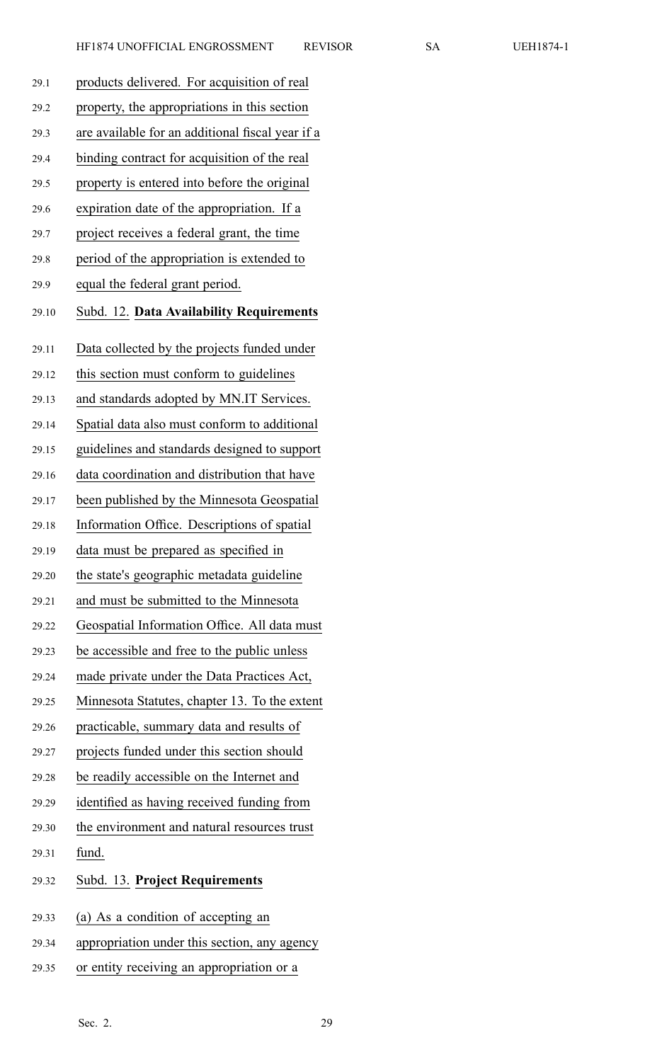| EH1874. |
|---------|
|         |

| 29.1  | products delivered. For acquisition of real      |
|-------|--------------------------------------------------|
| 29.2  | property, the appropriations in this section     |
| 29.3  | are available for an additional fiscal year if a |
| 29.4  | binding contract for acquisition of the real     |
| 29.5  | property is entered into before the original     |
| 29.6  | expiration date of the appropriation. If a       |
| 29.7  | project receives a federal grant, the time       |
| 29.8  | period of the appropriation is extended to       |
| 29.9  | equal the federal grant period.                  |
| 29.10 | Subd. 12. Data Availability Requirements         |
| 29.11 | Data collected by the projects funded under      |
| 29.12 | this section must conform to guidelines          |
| 29.13 | and standards adopted by MN.IT Services.         |
| 29.14 | Spatial data also must conform to additional     |
| 29.15 | guidelines and standards designed to support     |
| 29.16 | data coordination and distribution that have     |
| 29.17 | been published by the Minnesota Geospatial       |
| 29.18 | Information Office. Descriptions of spatial      |
| 29.19 | data must be prepared as specified in            |
| 29.20 | the state's geographic metadata guideline        |
| 29.21 | and must be submitted to the Minnesota           |
| 29.22 | Geospatial Information Office. All data must     |
| 29.23 | be accessible and free to the public unless      |
| 29.24 | made private under the Data Practices Act,       |
| 29.25 | Minnesota Statutes, chapter 13. To the extent    |
| 29.26 | practicable, summary data and results of         |
| 29.27 | projects funded under this section should        |
| 29.28 | be readily accessible on the Internet and        |
| 29.29 | identified as having received funding from       |
| 29.30 | the environment and natural resources trust      |
| 29.31 | fund.                                            |
| 29.32 | Subd. 13. Project Requirements                   |
| 29.33 | (a) As a condition of accepting an               |
| 29.34 | appropriation under this section, any agency     |
| 29.35 | or entity receiving an appropriation or a        |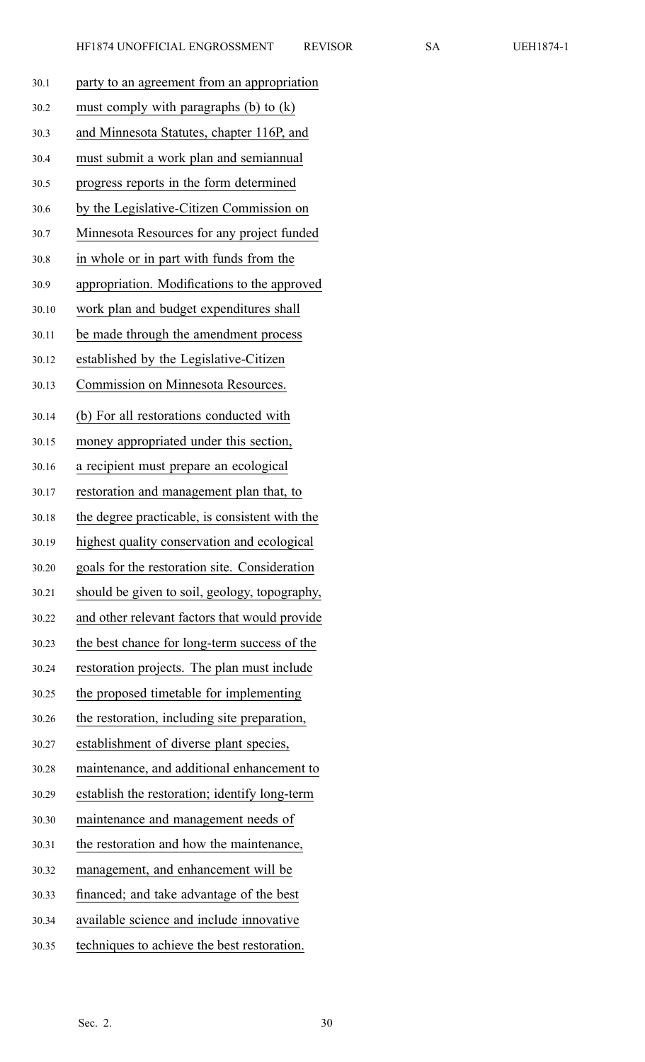| EH1874 |
|--------|
|--------|

|       | HF1874 UNOFFICIAL ENGROSSMENT                  | <b>REVISOR</b> | <b>SA</b> | <b>UEH1874-1</b> |
|-------|------------------------------------------------|----------------|-----------|------------------|
| 30.1  | party to an agreement from an appropriation    |                |           |                  |
| 30.2  | must comply with paragraphs $(b)$ to $(k)$     |                |           |                  |
| 30.3  | and Minnesota Statutes, chapter 116P, and      |                |           |                  |
| 30.4  | must submit a work plan and semiannual         |                |           |                  |
| 30.5  | progress reports in the form determined        |                |           |                  |
| 30.6  | by the Legislative-Citizen Commission on       |                |           |                  |
| 30.7  | Minnesota Resources for any project funded     |                |           |                  |
| 30.8  | in whole or in part with funds from the        |                |           |                  |
| 30.9  | appropriation. Modifications to the approved   |                |           |                  |
| 30.10 | work plan and budget expenditures shall        |                |           |                  |
| 30.11 | be made through the amendment process          |                |           |                  |
| 30.12 | established by the Legislative-Citizen         |                |           |                  |
| 30.13 | Commission on Minnesota Resources.             |                |           |                  |
| 30.14 | (b) For all restorations conducted with        |                |           |                  |
| 30.15 | money appropriated under this section,         |                |           |                  |
| 30.16 | a recipient must prepare an ecological         |                |           |                  |
| 30.17 | restoration and management plan that, to       |                |           |                  |
| 30.18 | the degree practicable, is consistent with the |                |           |                  |
| 30.19 | highest quality conservation and ecological    |                |           |                  |
| 30.20 | goals for the restoration site. Consideration  |                |           |                  |
| 30.21 | should be given to soil, geology, topography,  |                |           |                  |
| 30.22 | and other relevant factors that would provide  |                |           |                  |
| 30.23 | the best chance for long-term success of the   |                |           |                  |
| 30.24 | restoration projects. The plan must include    |                |           |                  |
| 30.25 | the proposed timetable for implementing        |                |           |                  |
| 30.26 | the restoration, including site preparation,   |                |           |                  |
| 30.27 | establishment of diverse plant species,        |                |           |                  |
| 30.28 | maintenance, and additional enhancement to     |                |           |                  |
| 30.29 | establish the restoration; identify long-term  |                |           |                  |
| 30.30 | maintenance and management needs of            |                |           |                  |
| 30.31 | the restoration and how the maintenance,       |                |           |                  |
| 30.32 | management, and enhancement will be            |                |           |                  |
| 30.33 | financed; and take advantage of the best       |                |           |                  |
| 30.34 | available science and include innovative       |                |           |                  |
| 30.35 | techniques to achieve the best restoration.    |                |           |                  |
|       |                                                |                |           |                  |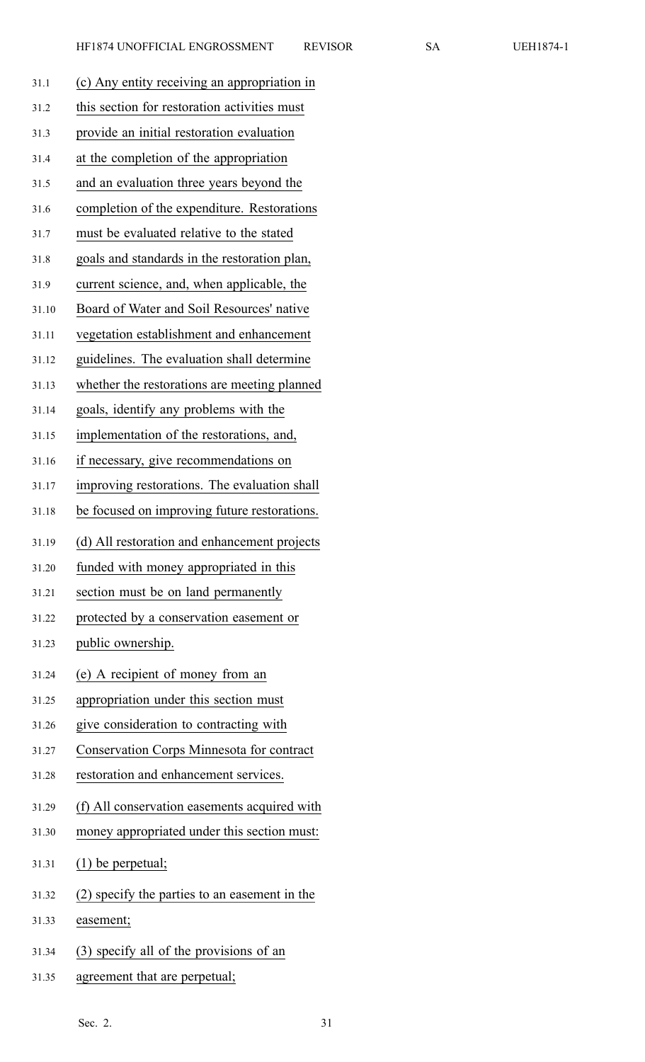| 31.1  | (c) Any entity receiving an appropriation in  |
|-------|-----------------------------------------------|
| 31.2  | this section for restoration activities must  |
| 31.3  | provide an initial restoration evaluation     |
| 31.4  | at the completion of the appropriation        |
| 31.5  | and an evaluation three years beyond the      |
| 31.6  | completion of the expenditure. Restorations   |
| 31.7  | must be evaluated relative to the stated      |
| 31.8  | goals and standards in the restoration plan,  |
| 31.9  | current science, and, when applicable, the    |
| 31.10 | Board of Water and Soil Resources' native     |
| 31.11 | vegetation establishment and enhancement      |
| 31.12 | guidelines. The evaluation shall determine    |
| 31.13 | whether the restorations are meeting planned  |
| 31.14 | goals, identify any problems with the         |
| 31.15 | implementation of the restorations, and,      |
| 31.16 | if necessary, give recommendations on         |
| 31.17 | improving restorations. The evaluation shall  |
| 31.18 | be focused on improving future restorations.  |
| 31.19 | (d) All restoration and enhancement projects  |
| 31.20 | funded with money appropriated in this        |
| 31.21 | section must be on land permanently           |
| 31.22 | protected by a conservation easement or       |
| 31.23 | public ownership.                             |
| 31.24 | (e) A recipient of money from an              |
| 31.25 | appropriation under this section must         |
| 31.26 | give consideration to contracting with        |
| 31.27 | Conservation Corps Minnesota for contract     |
| 31.28 | restoration and enhancement services.         |
| 31.29 | (f) All conservation easements acquired with  |
| 31.30 | money appropriated under this section must:   |
| 31.31 | $(1)$ be perpetual;                           |
| 31.32 | (2) specify the parties to an easement in the |
| 31.33 | easement;                                     |
| 31.34 | (3) specify all of the provisions of an       |

31.35 agreemen<sup>t</sup> that are perpetual;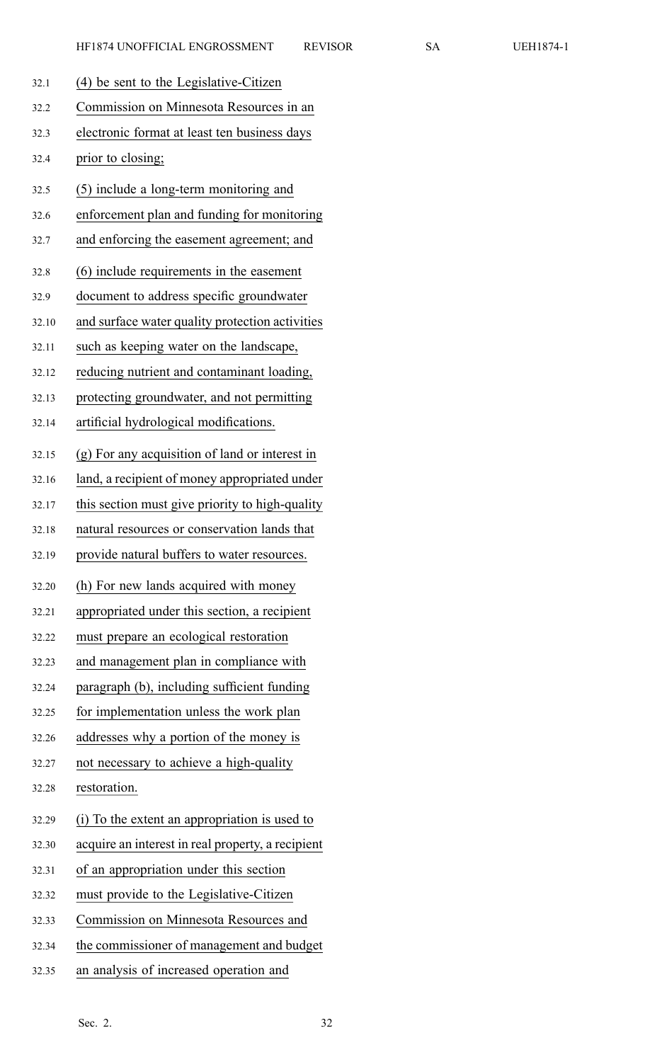| UEH1874 |  |
|---------|--|
|---------|--|

| 32.1  | (4) be sent to the Legislative-Citizen            |
|-------|---------------------------------------------------|
| 32.2  | Commission on Minnesota Resources in an           |
| 32.3  | electronic format at least ten business days      |
| 32.4  | prior to closing;                                 |
| 32.5  | (5) include a long-term monitoring and            |
| 32.6  | enforcement plan and funding for monitoring       |
| 32.7  | and enforcing the easement agreement; and         |
| 32.8  | (6) include requirements in the easement          |
| 32.9  | document to address specific groundwater          |
| 32.10 | and surface water quality protection activities   |
| 32.11 | such as keeping water on the landscape,           |
| 32.12 | reducing nutrient and contaminant loading,        |
| 32.13 | protecting groundwater, and not permitting        |
| 32.14 | artificial hydrological modifications.            |
| 32.15 | (g) For any acquisition of land or interest in    |
| 32.16 | land, a recipient of money appropriated under     |
| 32.17 | this section must give priority to high-quality   |
| 32.18 | natural resources or conservation lands that      |
| 32.19 | provide natural buffers to water resources.       |
| 32.20 | (h) For new lands acquired with money             |
| 32.21 | appropriated under this section, a recipient      |
| 32.22 | must prepare an ecological restoration            |
| 32.23 | and management plan in compliance with            |
| 32.24 | paragraph (b), including sufficient funding       |
| 32.25 | for implementation unless the work plan           |
| 32.26 | addresses why a portion of the money is           |
| 32.27 | not necessary to achieve a high-quality           |
| 32.28 | restoration.                                      |
| 32.29 | (i) To the extent an appropriation is used to     |
| 32.30 | acquire an interest in real property, a recipient |
| 32.31 | of an appropriation under this section            |
| 32.32 | must provide to the Legislative-Citizen           |
| 32.33 | Commission on Minnesota Resources and             |
| 32.34 | the commissioner of management and budget         |
| 32.35 | an analysis of increased operation and            |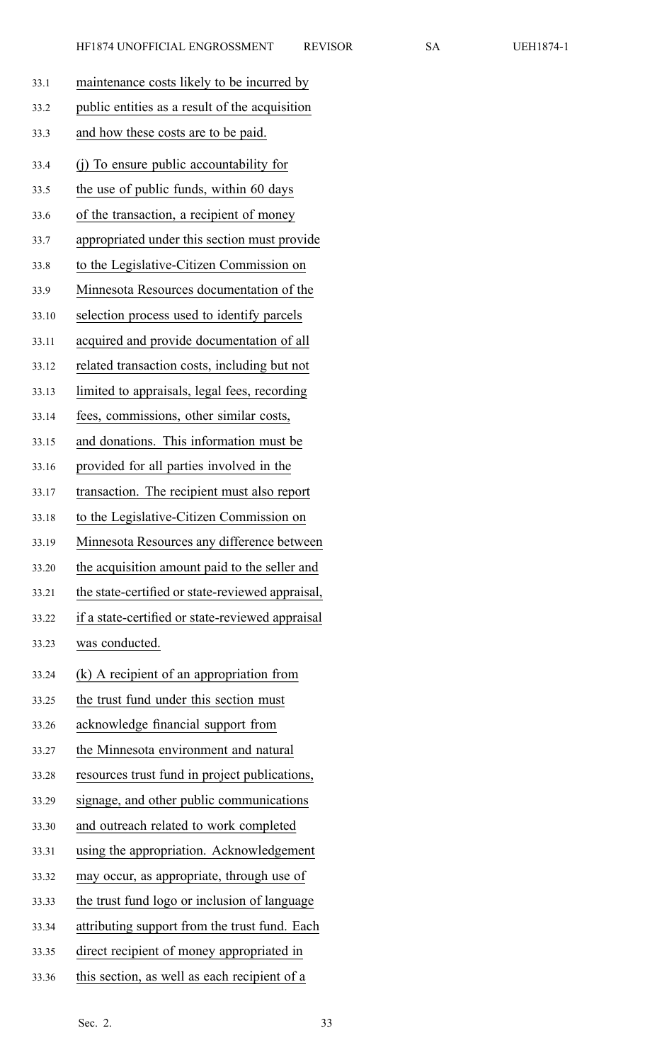| 33.1  | maintenance costs likely to be incurred by       |
|-------|--------------------------------------------------|
| 33.2  | public entities as a result of the acquisition   |
| 33.3  | and how these costs are to be paid.              |
| 33.4  | (i) To ensure public accountability for          |
| 33.5  | the use of public funds, within 60 days          |
| 33.6  | of the transaction, a recipient of money         |
| 33.7  | appropriated under this section must provide     |
| 33.8  | to the Legislative-Citizen Commission on         |
| 33.9  | Minnesota Resources documentation of the         |
| 33.10 | selection process used to identify parcels       |
| 33.11 | acquired and provide documentation of all        |
| 33.12 | related transaction costs, including but not     |
| 33.13 | limited to appraisals, legal fees, recording     |
| 33.14 | fees, commissions, other similar costs,          |
| 33.15 | and donations. This information must be          |
| 33.16 | provided for all parties involved in the         |
| 33.17 | transaction. The recipient must also report      |
| 33.18 | to the Legislative-Citizen Commission on         |
| 33.19 | Minnesota Resources any difference between       |
| 33.20 | the acquisition amount paid to the seller and    |
| 33.21 | the state-certified or state-reviewed appraisal, |
| 33.22 | if a state-certified or state-reviewed appraisal |
| 33.23 | was conducted.                                   |
| 33.24 | $(k)$ A recipient of an appropriation from       |
| 33.25 | the trust fund under this section must           |
| 33.26 | acknowledge financial support from               |
| 33.27 | the Minnesota environment and natural            |
| 33.28 | resources trust fund in project publications,    |
| 33.29 | signage, and other public communications         |
| 33.30 | and outreach related to work completed           |
| 33.31 | using the appropriation. Acknowledgement         |
| 33.32 | may occur, as appropriate, through use of        |
| 33.33 | the trust fund logo or inclusion of language     |
| 33.34 | attributing support from the trust fund. Each    |
| 33.35 | direct recipient of money appropriated in        |
| 33.36 | this section, as well as each recipient of a     |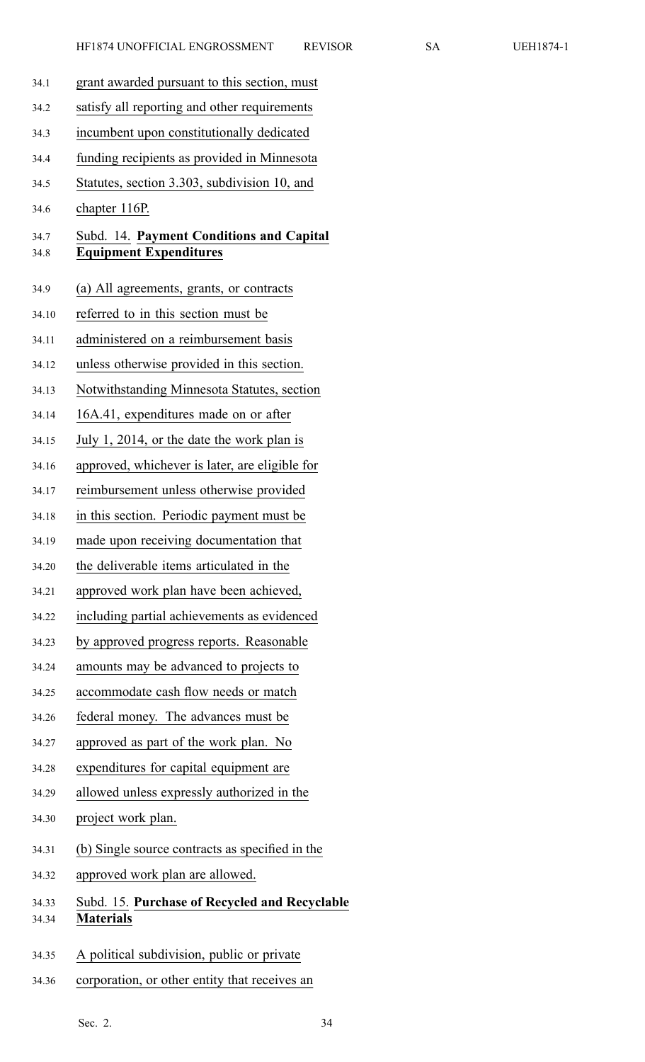| 34.1           | grant awarded pursuant to this section, must                              |
|----------------|---------------------------------------------------------------------------|
| 34.2           | satisfy all reporting and other requirements                              |
| 34.3           | incumbent upon constitutionally dedicated                                 |
| 34.4           | funding recipients as provided in Minnesota                               |
| 34.5           | Statutes, section 3.303, subdivision 10, and                              |
| 34.6           | chapter 116P.                                                             |
| 34.7<br>34.8   | Subd. 14. Payment Conditions and Capital<br><b>Equipment Expenditures</b> |
| 34.9           | (a) All agreements, grants, or contracts                                  |
| 34.10          | referred to in this section must be                                       |
| 34.11          | administered on a reimbursement basis                                     |
| 34.12          | unless otherwise provided in this section.                                |
| 34.13          | Notwithstanding Minnesota Statutes, section                               |
| 34.14          | 16A.41, expenditures made on or after                                     |
| 34.15          | July 1, 2014, or the date the work plan is                                |
| 34.16          | approved, whichever is later, are eligible for                            |
| 34.17          | reimbursement unless otherwise provided                                   |
| 34.18          | in this section. Periodic payment must be                                 |
| 34.19          | made upon receiving documentation that                                    |
| 34.20          | the deliverable items articulated in the                                  |
| 34.21          | approved work plan have been achieved,                                    |
| 34.22          | including partial achievements as evidenced                               |
| 34.23          | by approved progress reports. Reasonable                                  |
| 34.24          | amounts may be advanced to projects to                                    |
| 34.25          | accommodate cash flow needs or match                                      |
| 34.26          | federal money. The advances must be                                       |
| 34.27          | approved as part of the work plan. No                                     |
| 34.28          | expenditures for capital equipment are                                    |
| 34.29          | allowed unless expressly authorized in the                                |
| 34.30          | project work plan.                                                        |
| 34.31          | (b) Single source contracts as specified in the                           |
| 34.32          | approved work plan are allowed.                                           |
| 34.33<br>34.34 | Subd. 15. Purchase of Recycled and Recyclable<br><b>Materials</b>         |
| 34.35          | A political subdivision, public or private                                |

34.36 corporation, or other entity that receives an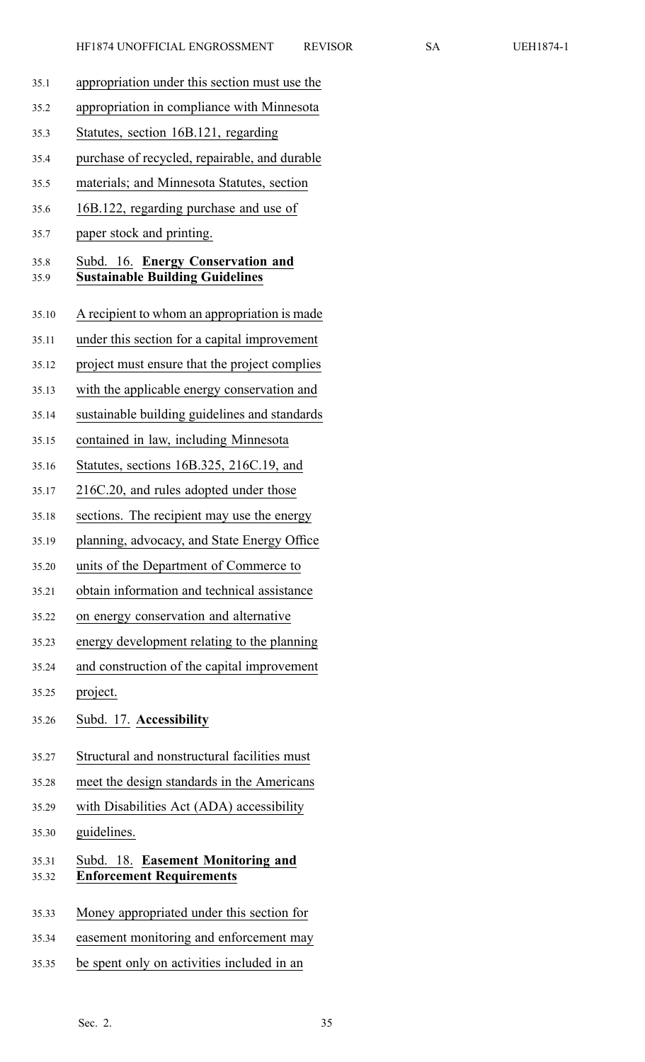| 35.1           | appropriation under this section must use the                               |
|----------------|-----------------------------------------------------------------------------|
| 35.2           | appropriation in compliance with Minnesota                                  |
| 35.3           | Statutes, section 16B.121, regarding                                        |
| 35.4           | purchase of recycled, repairable, and durable                               |
| 35.5           | materials; and Minnesota Statutes, section                                  |
| 35.6           | 16B.122, regarding purchase and use of                                      |
| 35.7           | paper stock and printing.                                                   |
| 35.8<br>35.9   | Subd. 16. Energy Conservation and<br><b>Sustainable Building Guidelines</b> |
| 35.10          | A recipient to whom an appropriation is made                                |
| 35.11          | under this section for a capital improvement                                |
| 35.12          | project must ensure that the project complies                               |
| 35.13          | with the applicable energy conservation and                                 |
| 35.14          | sustainable building guidelines and standards                               |
| 35.15          | contained in law, including Minnesota                                       |
| 35.16          | Statutes, sections 16B.325, 216C.19, and                                    |
| 35.17          | 216C.20, and rules adopted under those                                      |
| 35.18          | sections. The recipient may use the energy                                  |
| 35.19          | planning, advocacy, and State Energy Office                                 |
| 35.20          | units of the Department of Commerce to                                      |
| 35.21          | obtain information and technical assistance                                 |
| 35.22          | on energy conservation and alternative                                      |
| 35.23          | energy development relating to the planning                                 |
| 35.24          | and construction of the capital improvement                                 |
| 35.25          | project.                                                                    |
| 35.26          | Subd. 17. Accessibility                                                     |
| 35.27          | Structural and nonstructural facilities must                                |
| 35.28          | meet the design standards in the Americans                                  |
| 35.29          | with Disabilities Act (ADA) accessibility                                   |
| 35.30          | guidelines.                                                                 |
| 35.31<br>35.32 | Subd. 18. Easement Monitoring and<br><b>Enforcement Requirements</b>        |
| 35.33          | Money appropriated under this section for                                   |
| 35.34          | easement monitoring and enforcement may                                     |
| 35.35          | be spent only on activities included in an                                  |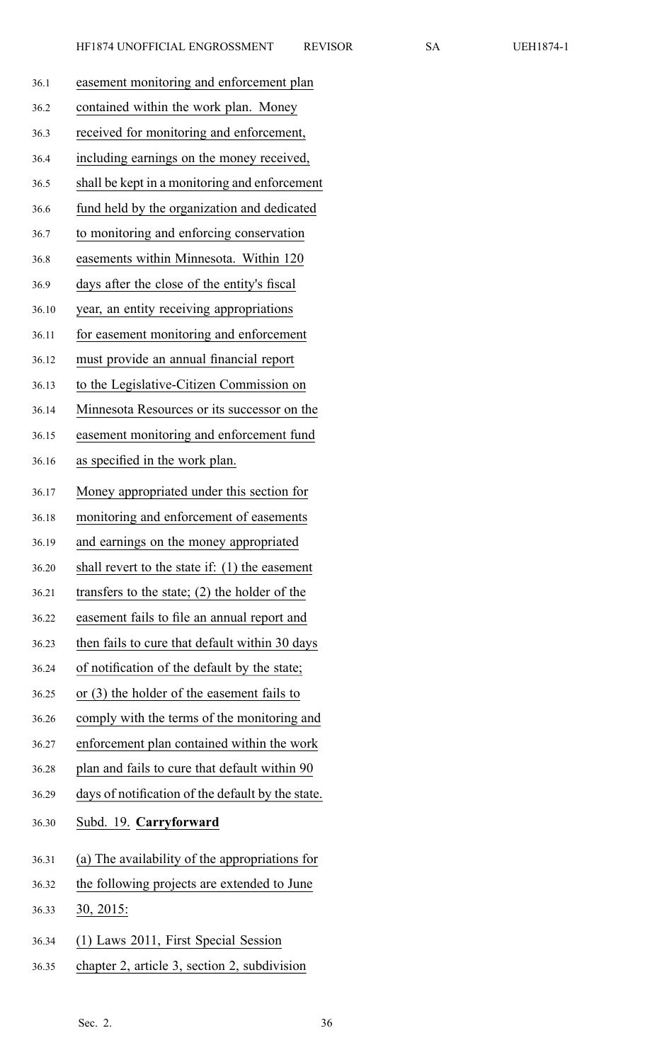| 36.1  | easement monitoring and enforcement plan          |
|-------|---------------------------------------------------|
| 36.2  | contained within the work plan. Money             |
| 36.3  | received for monitoring and enforcement,          |
| 36.4  | including earnings on the money received,         |
| 36.5  | shall be kept in a monitoring and enforcement     |
| 36.6  | fund held by the organization and dedicated       |
| 36.7  | to monitoring and enforcing conservation          |
| 36.8  | easements within Minnesota. Within 120            |
| 36.9  | days after the close of the entity's fiscal       |
| 36.10 | year, an entity receiving appropriations          |
| 36.11 | for easement monitoring and enforcement           |
| 36.12 | must provide an annual financial report           |
| 36.13 | to the Legislative-Citizen Commission on          |
| 36.14 | Minnesota Resources or its successor on the       |
| 36.15 | easement monitoring and enforcement fund          |
| 36.16 | as specified in the work plan.                    |
| 36.17 | Money appropriated under this section for         |
| 36.18 | monitoring and enforcement of easements           |
| 36.19 | and earnings on the money appropriated            |
| 36.20 | shall revert to the state if: (1) the easement    |
| 36.21 | transfers to the state; $(2)$ the holder of the   |
| 36.22 | easement fails to file an annual report and       |
| 36.23 | then fails to cure that default within 30 days    |
| 36.24 | of notification of the default by the state;      |
| 36.25 | or (3) the holder of the easement fails to        |
| 36.26 | comply with the terms of the monitoring and       |
| 36.27 | enforcement plan contained within the work        |
| 36.28 | plan and fails to cure that default within 90     |
| 36.29 | days of notification of the default by the state. |
| 36.30 | Subd. 19. Carryforward                            |
| 36.31 | (a) The availability of the appropriations for    |
| 36.32 | the following projects are extended to June       |
| 36.33 | 30, 2015:                                         |
| 36.34 | (1) Laws 2011, First Special Session              |
| 36.35 | chapter 2, article 3, section 2, subdivision      |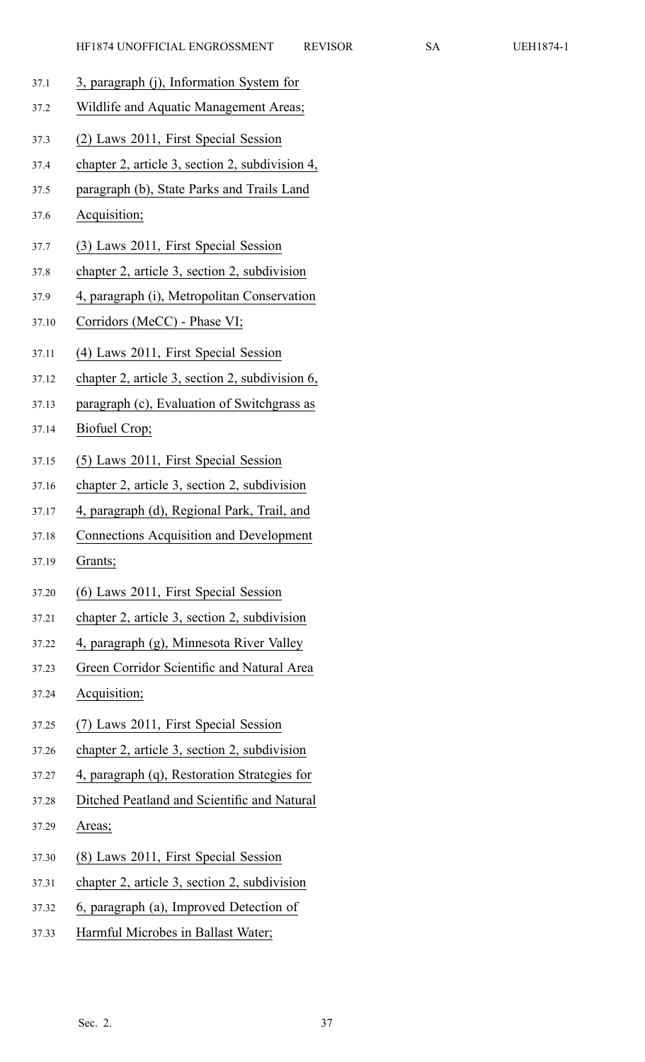- 37.1 3, paragraph (j), Information System for
- 37.2 Wildlife and Aquatic Management Areas;
- 37.3 (2) Laws 2011, First Special Session
- 37.4 chapter 2, article 3, section 2, subdivision 4,
- 37.5 paragraph (b), State Parks and Trails Land
- 37.6 Acquisition;
- 37.7 (3) Laws 2011, First Special Session
- 37.8 chapter 2, article 3, section 2, subdivision
- 37.9 4, paragraph (i), Metropolitan Conservation
- 37.10 Corridors (MeCC) Phase VI;
- 37.11 (4) Laws 2011, First Special Session
- 37.12 chapter 2, article 3, section 2, subdivision 6,
- 37.13 paragraph (c), Evaluation of Switchgrass as
- 37.14 Biofuel Crop;
- 37.15 (5) Laws 2011, First Special Session
- 37.16 chapter 2, article 3, section 2, subdivision
- 37.17 4, paragraph (d), Regional Park, Trail, and
- 37.18 Connections Acquisition and Development
- 37.19 Grants;
- 37.20 (6) Laws 2011, First Special Session
- 37.21 chapter 2, article 3, section 2, subdivision
- 37.22 4, paragraph (g), Minnesota River Valley
- 37.23 Green Corridor Scientific and Natural Area
- 37.24 Acquisition;
- 37.25 (7) Laws 2011, First Special Session
- 37.26 chapter 2, article 3, section 2, subdivision
- 37.27 4, paragraph (q), Restoration Strategies for
- 37.28 Ditched Peatland and Scientific and Natural
- 37.29 Areas;
- 37.30 (8) Laws 2011, First Special Session
- 37.31 chapter 2, article 3, section 2, subdivision
- 37.32 6, paragraph (a), Improved Detection of
- 37.33 Harmful Microbes in Ballast Water;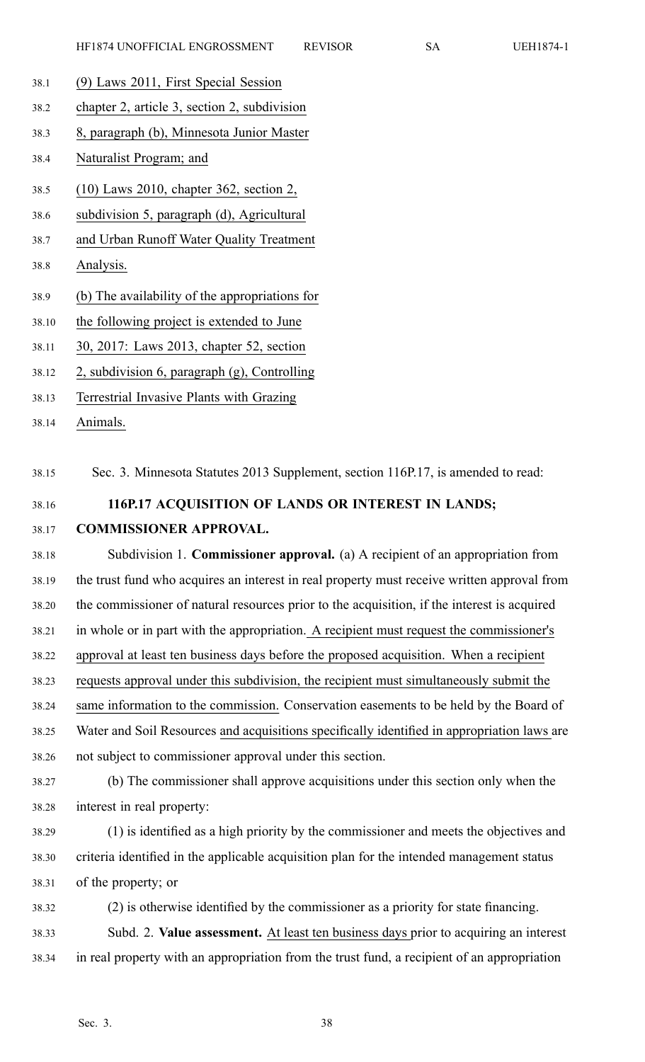- 38.1 (9) Laws 2011, First Special Session
- 38.2 chapter 2, article 3, section 2, subdivision
- 38.3 8, paragraph (b), Minnesota Junior Master
- 38.4 Naturalist Program; and
- 38.5 (10) Laws 2010, chapter 362, section 2,
- 38.6 subdivision 5, paragraph (d), Agricultural
- 38.7 and Urban Runoff Water Quality Treatment
- 38.8 Analysis.
- 38.9 (b) The availability of the appropriations for
- 38.10 the following project is extended to June
- 38.11 30, 2017: Laws 2013, chapter 52, section
- 38.12 2, subdivision 6, paragraph (g), Controlling
- 38.13 Terrestrial Invasive Plants with Grazing
- 38.14 Animals.

38.15 Sec. 3. Minnesota Statutes 2013 Supplement, section 116P.17, is amended to read:

- 38.16 **116P.17 ACQUISITION OF LANDS OR INTEREST IN LANDS;**
- 38.17 **COMMISSIONER APPROVAL.**

38.18 Subdivision 1. **Commissioner approval.** (a) A recipient of an appropriation from 38.19 the trust fund who acquires an interest in real property must receive written approval from 38.20 the commissioner of natural resources prior to the acquisition, if the interest is acquired 38.21 in whole or in par<sup>t</sup> with the appropriation. A recipient must reques<sup>t</sup> the commissioner's 38.22 approval at least ten business days before the proposed acquisition. When <sup>a</sup> recipient 38.23 requests approval under this subdivision, the recipient must simultaneously submit the 38.24 same information to the commission. Conservation easements to be held by the Board of 38.25 Water and Soil Resources and acquisitions specifically identified in appropriation laws are 38.26 not subject to commissioner approval under this section.

38.27 (b) The commissioner shall approve acquisitions under this section only when the 38.28 interest in real property:

- 38.29 (1) is identified as <sup>a</sup> high priority by the commissioner and meets the objectives and 38.30 criteria identified in the applicable acquisition plan for the intended managemen<sup>t</sup> status 38.31 of the property; or
- 38.32 (2) is otherwise identified by the commissioner as <sup>a</sup> priority for state financing. 38.33 Subd. 2. **Value assessment.** At least ten business days prior to acquiring an interest 38.34 in real property with an appropriation from the trust fund, <sup>a</sup> recipient of an appropriation